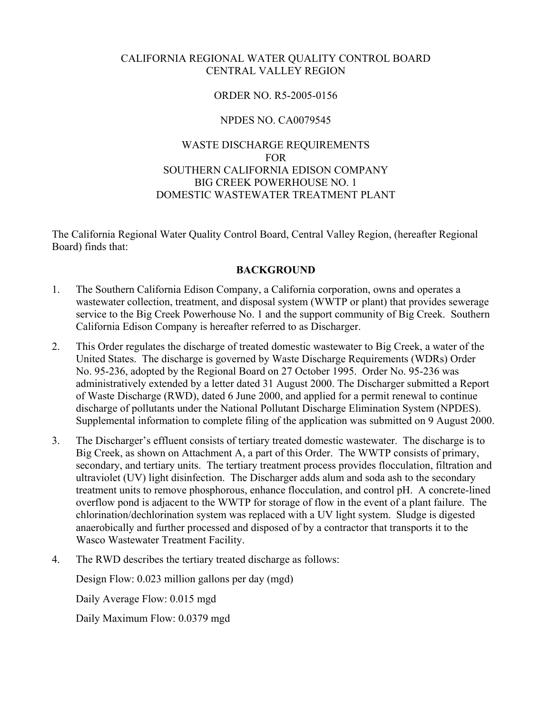#### CALIFORNIA REGIONAL WATER QUALITY CONTROL BOARD CENTRAL VALLEY REGION

## ORDER NO. R5-2005-0156

## NPDES NO. CA0079545

## WASTE DISCHARGE REQUIREMENTS FOR SOUTHERN CALIFORNIA EDISON COMPANY BIG CREEK POWERHOUSE NO. 1 DOMESTIC WASTEWATER TREATMENT PLANT

The California Regional Water Quality Control Board, Central Valley Region, (hereafter Regional Board) finds that:

#### **BACKGROUND**

- 1. The Southern California Edison Company, a California corporation, owns and operates a wastewater collection, treatment, and disposal system (WWTP or plant) that provides sewerage service to the Big Creek Powerhouse No. 1 and the support community of Big Creek. Southern California Edison Company is hereafter referred to as Discharger.
- 2. This Order regulates the discharge of treated domestic wastewater to Big Creek, a water of the United States. The discharge is governed by Waste Discharge Requirements (WDRs) Order No. 95-236, adopted by the Regional Board on 27 October 1995. Order No. 95-236 was administratively extended by a letter dated 31 August 2000. The Discharger submitted a Report of Waste Discharge (RWD), dated 6 June 2000, and applied for a permit renewal to continue discharge of pollutants under the National Pollutant Discharge Elimination System (NPDES). Supplemental information to complete filing of the application was submitted on 9 August 2000.
- 3. The Discharger's effluent consists of tertiary treated domestic wastewater. The discharge is to Big Creek, as shown on Attachment A, a part of this Order. The WWTP consists of primary, secondary, and tertiary units. The tertiary treatment process provides flocculation, filtration and ultraviolet (UV) light disinfection. The Discharger adds alum and soda ash to the secondary treatment units to remove phosphorous, enhance flocculation, and control pH. A concrete-lined overflow pond is adjacent to the WWTP for storage of flow in the event of a plant failure. The chlorination/dechlorination system was replaced with a UV light system. Sludge is digested anaerobically and further processed and disposed of by a contractor that transports it to the Wasco Wastewater Treatment Facility.
- 4. The RWD describes the tertiary treated discharge as follows:

Design Flow: 0.023 million gallons per day (mgd)

Daily Average Flow: 0.015 mgd

Daily Maximum Flow: 0.0379 mgd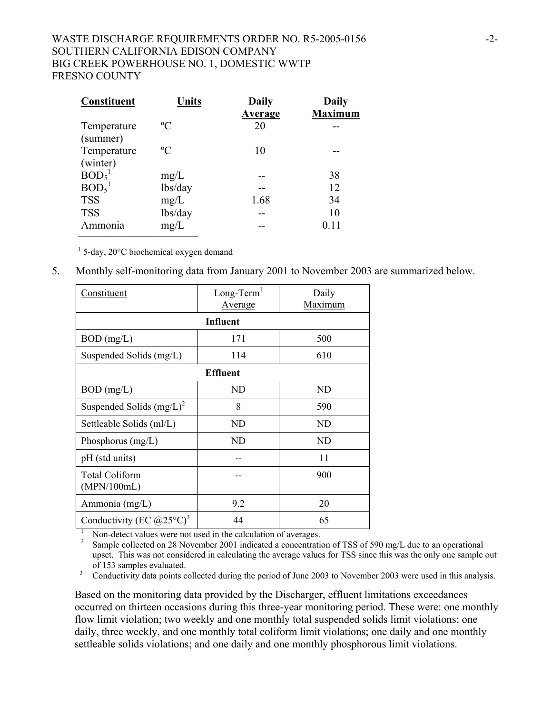## WASTE DISCHARGE REQUIREMENTS ORDER NO. R5-2005-0156 -2-SOUTHERN CALIFORNIA EDISON COMPANY BIG CREEK POWERHOUSE NO. 1, DOMESTIC WWTP FRESNO COUNTY

| <b>Constituent</b>            | Units       | <b>Daily</b>   | <b>Daily</b>   |
|-------------------------------|-------------|----------------|----------------|
|                               |             | <b>Average</b> | <b>Maximum</b> |
| Temperature                   | $\rm ^{o}C$ | 20             |                |
| (summer)                      |             |                |                |
| Temperature                   | $\rm ^{o}C$ | 10             |                |
| (winter)                      |             |                |                |
| BOD <sub>5</sub> <sup>1</sup> | mg/L        |                | 38             |
| BOD <sub>5</sub> <sup>1</sup> | lbs/day     |                | 12             |
| <b>TSS</b>                    | mg/L        | 1.68           | 34             |
| <b>TSS</b>                    | lbs/day     |                | 10             |
| Ammonia                       | mg/L        |                | 0.11           |
|                               |             |                |                |

 $1$  5-day, 20 $^{\circ}$ C biochemical oxygen demand

5. Monthly self-monitoring data from January 2001 to November 2003 are summarized below.

| Constituent                                         | $Long-Term1$<br><b>Average</b> | Daily<br>Maximum |  |  |  |
|-----------------------------------------------------|--------------------------------|------------------|--|--|--|
| Influent                                            |                                |                  |  |  |  |
| $BOD$ (mg/L)                                        | 171                            | 500              |  |  |  |
| Suspended Solids (mg/L)                             | 114                            | 610              |  |  |  |
| <b>Effluent</b>                                     |                                |                  |  |  |  |
| $BOD$ (mg/L)                                        | ND                             | ND               |  |  |  |
| Suspended Solids $(mg/L)^2$                         | 8                              | 590              |  |  |  |
| Settleable Solids (ml/L)                            | ND                             | ND               |  |  |  |
| Phosphorus $(mg/L)$                                 | ND                             | ND               |  |  |  |
| pH (std units)                                      |                                | 11               |  |  |  |
| Total Coliform<br>(MPN/100mL)                       |                                | 900              |  |  |  |
| Ammonia (mg/L)                                      | 9.2                            | 20               |  |  |  |
| Conductivity (EC $(\partial 25^{\circ} \text{C})^3$ | 44                             | 65               |  |  |  |

 $\overline{1}$ Non-detect values were not used in the calculation of averages.

 2 Sample collected on 28 November 2001 indicated a concentration of TSS of 590 mg/L due to an operational upset. This was not considered in calculating the average values for TSS since this was the only one sample out

of 153 samples evaluated.<br><sup>3</sup> Conductivity data points collected during the period of June 2003 to November 2003 were used in this analysis.

Based on the monitoring data provided by the Discharger, effluent limitations exceedances occurred on thirteen occasions during this three-year monitoring period. These were: one monthly flow limit violation; two weekly and one monthly total suspended solids limit violations; one daily, three weekly, and one monthly total coliform limit violations; one daily and one monthly settleable solids violations; and one daily and one monthly phosphorous limit violations.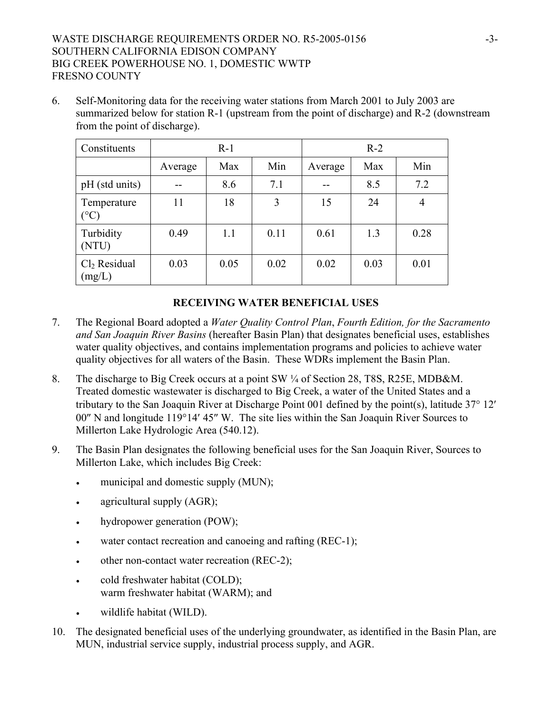# WASTE DISCHARGE REQUIREMENTS ORDER NO. R5-2005-0156 -3-SOUTHERN CALIFORNIA EDISON COMPANY BIG CREEK POWERHOUSE NO. 1, DOMESTIC WWTP FRESNO COUNTY

6. Self-Monitoring data for the receiving water stations from March 2001 to July 2003 are summarized below for station R-1 (upstream from the point of discharge) and R-2 (downstream from the point of discharge).

| Constituents                       | $R-1$   |      |      | $R-2$   |      |                |
|------------------------------------|---------|------|------|---------|------|----------------|
|                                    | Average | Max  | Min  | Average | Max  | Min            |
| pH (std units)                     |         | 8.6  | 7.1  | --      | 8.5  | 7.2            |
| Temperature<br>$(^\circ C)$        | 11      | 18   | 3    | 15      | 24   | $\overline{4}$ |
| Turbidity<br>(NTU)                 | 0.49    | 1.1  | 0.11 | 0.61    | 1.3  | 0.28           |
| Cl <sub>2</sub> Residual<br>(mg/L) | 0.03    | 0.05 | 0.02 | 0.02    | 0.03 | 0.01           |

## **RECEIVING WATER BENEFICIAL USES**

- 7. The Regional Board adopted a *Water Quality Control Plan*, *Fourth Edition, for the Sacramento and San Joaquin River Basins* (hereafter Basin Plan) that designates beneficial uses, establishes water quality objectives, and contains implementation programs and policies to achieve water quality objectives for all waters of the Basin. These WDRs implement the Basin Plan.
- 8. The discharge to Big Creek occurs at a point SW ¼ of Section 28, T8S, R25E, MDB&M. Treated domestic wastewater is discharged to Big Creek, a water of the United States and a tributary to the San Joaquin River at Discharge Point 001 defined by the point(s), latitude 37° 12′ 00″ N and longitude 119°14′ 45″ W. The site lies within the San Joaquin River Sources to Millerton Lake Hydrologic Area (540.12).
- 9. The Basin Plan designates the following beneficial uses for the San Joaquin River, Sources to Millerton Lake, which includes Big Creek:
	- municipal and domestic supply (MUN);
	- agricultural supply (AGR);
	- hydropower generation (POW);
	- water contact recreation and canoeing and rafting  $(REC-1)$ ;
	- other non-contact water recreation (REC-2);
	- cold freshwater habitat (COLD); warm freshwater habitat (WARM); and
	- wildlife habitat (WILD).
- 10. The designated beneficial uses of the underlying groundwater, as identified in the Basin Plan, are MUN, industrial service supply, industrial process supply, and AGR.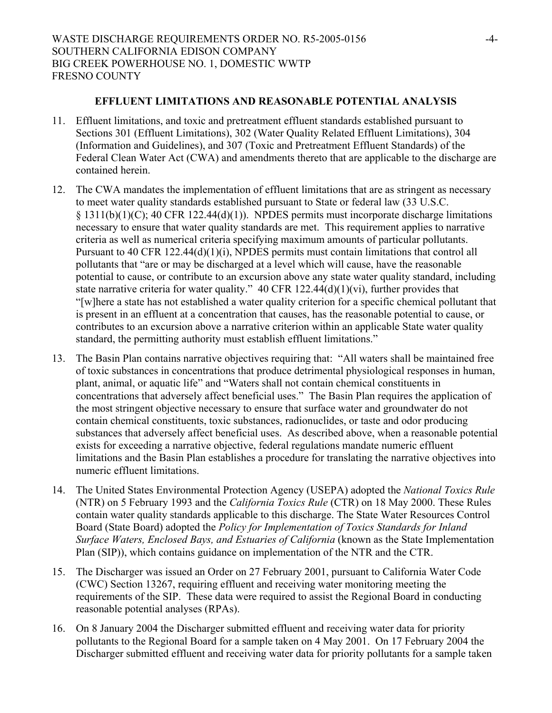## **EFFLUENT LIMITATIONS AND REASONABLE POTENTIAL ANALYSIS**

- 11. Effluent limitations, and toxic and pretreatment effluent standards established pursuant to Sections 301 (Effluent Limitations), 302 (Water Quality Related Effluent Limitations), 304 (Information and Guidelines), and 307 (Toxic and Pretreatment Effluent Standards) of the Federal Clean Water Act (CWA) and amendments thereto that are applicable to the discharge are contained herein.
- 12. The CWA mandates the implementation of effluent limitations that are as stringent as necessary to meet water quality standards established pursuant to State or federal law (33 U.S.C.  $§$  1311(b)(1)(C); 40 CFR 122.44(d)(1)). NPDES permits must incorporate discharge limitations necessary to ensure that water quality standards are met. This requirement applies to narrative criteria as well as numerical criteria specifying maximum amounts of particular pollutants. Pursuant to 40 CFR 122.44(d)(1)(i), NPDES permits must contain limitations that control all pollutants that "are or may be discharged at a level which will cause, have the reasonable potential to cause, or contribute to an excursion above any state water quality standard, including state narrative criteria for water quality." 40 CFR 122.44(d)(1)(vi), further provides that "[w]here a state has not established a water quality criterion for a specific chemical pollutant that is present in an effluent at a concentration that causes, has the reasonable potential to cause, or contributes to an excursion above a narrative criterion within an applicable State water quality standard, the permitting authority must establish effluent limitations."
- 13. The Basin Plan contains narrative objectives requiring that: "All waters shall be maintained free of toxic substances in concentrations that produce detrimental physiological responses in human, plant, animal, or aquatic life" and "Waters shall not contain chemical constituents in concentrations that adversely affect beneficial uses." The Basin Plan requires the application of the most stringent objective necessary to ensure that surface water and groundwater do not contain chemical constituents, toxic substances, radionuclides, or taste and odor producing substances that adversely affect beneficial uses. As described above, when a reasonable potential exists for exceeding a narrative objective, federal regulations mandate numeric effluent limitations and the Basin Plan establishes a procedure for translating the narrative objectives into numeric effluent limitations.
- 14. The United States Environmental Protection Agency (USEPA) adopted the *National Toxics Rule* (NTR) on 5 February 1993 and the *California Toxics Rule* (CTR) on 18 May 2000. These Rules contain water quality standards applicable to this discharge. The State Water Resources Control Board (State Board) adopted the *Policy for Implementation of Toxics Standards for Inland Surface Waters, Enclosed Bays, and Estuaries of California* (known as the State Implementation Plan (SIP)), which contains guidance on implementation of the NTR and the CTR.
- 15. The Discharger was issued an Order on 27 February 2001, pursuant to California Water Code (CWC) Section 13267, requiring effluent and receiving water monitoring meeting the requirements of the SIP. These data were required to assist the Regional Board in conducting reasonable potential analyses (RPAs).
- 16. On 8 January 2004 the Discharger submitted effluent and receiving water data for priority pollutants to the Regional Board for a sample taken on 4 May 2001. On 17 February 2004 the Discharger submitted effluent and receiving water data for priority pollutants for a sample taken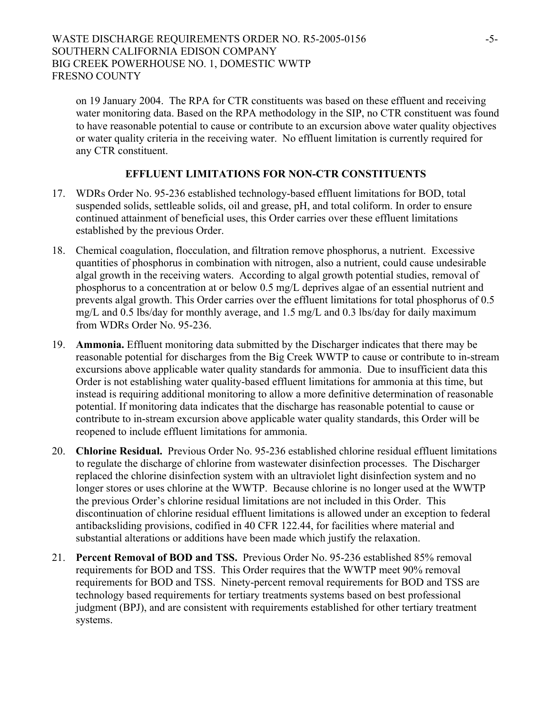on 19 January 2004. The RPA for CTR constituents was based on these effluent and receiving water monitoring data. Based on the RPA methodology in the SIP, no CTR constituent was found to have reasonable potential to cause or contribute to an excursion above water quality objectives or water quality criteria in the receiving water. No effluent limitation is currently required for any CTR constituent.

## **EFFLUENT LIMITATIONS FOR NON-CTR CONSTITUENTS**

- 17. WDRs Order No. 95-236 established technology-based effluent limitations for BOD, total suspended solids, settleable solids, oil and grease, pH, and total coliform. In order to ensure continued attainment of beneficial uses, this Order carries over these effluent limitations established by the previous Order.
- 18. Chemical coagulation, flocculation, and filtration remove phosphorus, a nutrient. Excessive quantities of phosphorus in combination with nitrogen, also a nutrient, could cause undesirable algal growth in the receiving waters. According to algal growth potential studies, removal of phosphorus to a concentration at or below 0.5 mg/L deprives algae of an essential nutrient and prevents algal growth. This Order carries over the effluent limitations for total phosphorus of 0.5 mg/L and 0.5 lbs/day for monthly average, and 1.5 mg/L and 0.3 lbs/day for daily maximum from WDRs Order No. 95-236.
- 19. **Ammonia.** Effluent monitoring data submitted by the Discharger indicates that there may be reasonable potential for discharges from the Big Creek WWTP to cause or contribute to in-stream excursions above applicable water quality standards for ammonia. Due to insufficient data this Order is not establishing water quality-based effluent limitations for ammonia at this time, but instead is requiring additional monitoring to allow a more definitive determination of reasonable potential. If monitoring data indicates that the discharge has reasonable potential to cause or contribute to in-stream excursion above applicable water quality standards, this Order will be reopened to include effluent limitations for ammonia.
- 20. **Chlorine Residual.** Previous Order No. 95-236 established chlorine residual effluent limitations to regulate the discharge of chlorine from wastewater disinfection processes. The Discharger replaced the chlorine disinfection system with an ultraviolet light disinfection system and no longer stores or uses chlorine at the WWTP. Because chlorine is no longer used at the WWTP the previous Order's chlorine residual limitations are not included in this Order. This discontinuation of chlorine residual effluent limitations is allowed under an exception to federal antibacksliding provisions, codified in 40 CFR 122.44, for facilities where material and substantial alterations or additions have been made which justify the relaxation.
- 21. **Percent Removal of BOD and TSS.** Previous Order No. 95-236 established 85% removal requirements for BOD and TSS. This Order requires that the WWTP meet 90% removal requirements for BOD and TSS. Ninety-percent removal requirements for BOD and TSS are technology based requirements for tertiary treatments systems based on best professional judgment (BPJ), and are consistent with requirements established for other tertiary treatment systems.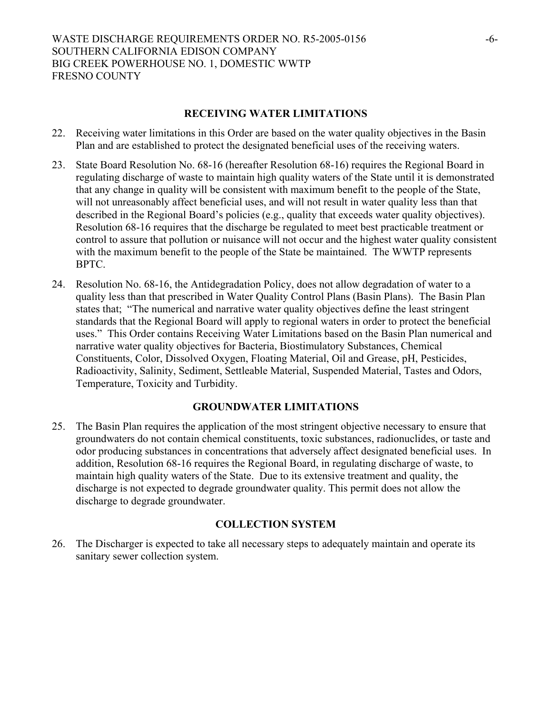#### **RECEIVING WATER LIMITATIONS**

- 22. Receiving water limitations in this Order are based on the water quality objectives in the Basin Plan and are established to protect the designated beneficial uses of the receiving waters.
- 23. State Board Resolution No. 68-16 (hereafter Resolution 68-16) requires the Regional Board in regulating discharge of waste to maintain high quality waters of the State until it is demonstrated that any change in quality will be consistent with maximum benefit to the people of the State, will not unreasonably affect beneficial uses, and will not result in water quality less than that described in the Regional Board's policies (e.g., quality that exceeds water quality objectives). Resolution 68-16 requires that the discharge be regulated to meet best practicable treatment or control to assure that pollution or nuisance will not occur and the highest water quality consistent with the maximum benefit to the people of the State be maintained. The WWTP represents BPTC.
- 24. Resolution No. 68-16, the Antidegradation Policy, does not allow degradation of water to a quality less than that prescribed in Water Quality Control Plans (Basin Plans). The Basin Plan states that; "The numerical and narrative water quality objectives define the least stringent standards that the Regional Board will apply to regional waters in order to protect the beneficial uses." This Order contains Receiving Water Limitations based on the Basin Plan numerical and narrative water quality objectives for Bacteria, Biostimulatory Substances, Chemical Constituents, Color, Dissolved Oxygen, Floating Material, Oil and Grease, pH, Pesticides, Radioactivity, Salinity, Sediment, Settleable Material, Suspended Material, Tastes and Odors, Temperature, Toxicity and Turbidity.

## **GROUNDWATER LIMITATIONS**

25. The Basin Plan requires the application of the most stringent objective necessary to ensure that groundwaters do not contain chemical constituents, toxic substances, radionuclides, or taste and odor producing substances in concentrations that adversely affect designated beneficial uses. In addition, Resolution 68-16 requires the Regional Board, in regulating discharge of waste, to maintain high quality waters of the State. Due to its extensive treatment and quality, the discharge is not expected to degrade groundwater quality. This permit does not allow the discharge to degrade groundwater.

## **COLLECTION SYSTEM**

26. The Discharger is expected to take all necessary steps to adequately maintain and operate its sanitary sewer collection system.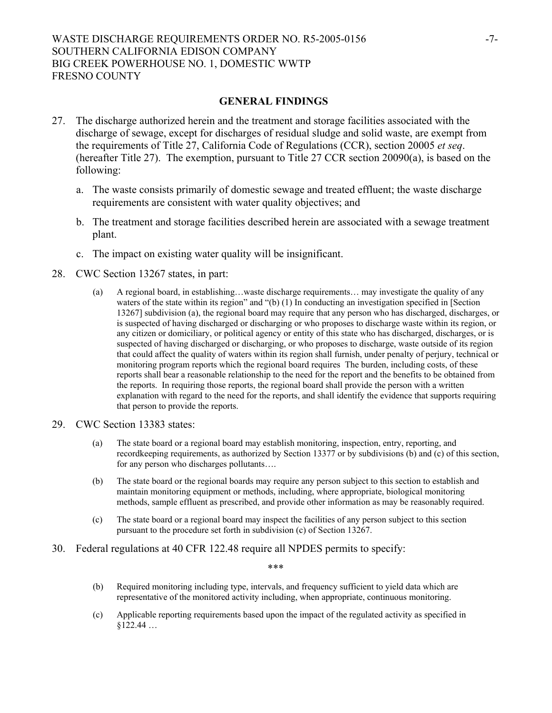#### WASTE DISCHARGE REQUIREMENTS ORDER NO. R5-2005-0156 -7-SOUTHERN CALIFORNIA EDISON COMPANY BIG CREEK POWERHOUSE NO. 1, DOMESTIC WWTP FRESNO COUNTY

#### **GENERAL FINDINGS**

- 27. The discharge authorized herein and the treatment and storage facilities associated with the discharge of sewage, except for discharges of residual sludge and solid waste, are exempt from the requirements of Title 27, California Code of Regulations (CCR), section 20005 *et seq*. (hereafter Title 27). The exemption, pursuant to Title 27 CCR section 20090(a), is based on the following:
	- a. The waste consists primarily of domestic sewage and treated effluent; the waste discharge requirements are consistent with water quality objectives; and
	- b. The treatment and storage facilities described herein are associated with a sewage treatment plant.
	- c. The impact on existing water quality will be insignificant.
- 28. CWC Section 13267 states, in part:
	- (a) A regional board, in establishing…waste discharge requirements… may investigate the quality of any waters of the state within its region" and "(b) (1) In conducting an investigation specified in [Section] 13267] subdivision (a), the regional board may require that any person who has discharged, discharges, or is suspected of having discharged or discharging or who proposes to discharge waste within its region, or any citizen or domiciliary, or political agency or entity of this state who has discharged, discharges, or is suspected of having discharged or discharging, or who proposes to discharge, waste outside of its region that could affect the quality of waters within its region shall furnish, under penalty of perjury, technical or monitoring program reports which the regional board requires The burden, including costs, of these reports shall bear a reasonable relationship to the need for the report and the benefits to be obtained from the reports. In requiring those reports, the regional board shall provide the person with a written explanation with regard to the need for the reports, and shall identify the evidence that supports requiring that person to provide the reports.
- 29. CWC Section 13383 states:
	- (a) The state board or a regional board may establish monitoring, inspection, entry, reporting, and recordkeeping requirements, as authorized by Section 13377 or by subdivisions (b) and (c) of this section, for any person who discharges pollutants….
	- (b) The state board or the regional boards may require any person subject to this section to establish and maintain monitoring equipment or methods, including, where appropriate, biological monitoring methods, sample effluent as prescribed, and provide other information as may be reasonably required.
	- (c) The state board or a regional board may inspect the facilities of any person subject to this section pursuant to the procedure set forth in subdivision (c) of Section 13267.
- 30. Federal regulations at 40 CFR 122.48 require all NPDES permits to specify:

\*\*\*

- (b) Required monitoring including type, intervals, and frequency sufficient to yield data which are representative of the monitored activity including, when appropriate, continuous monitoring.
- (c) Applicable reporting requirements based upon the impact of the regulated activity as specified in  $$122.44...$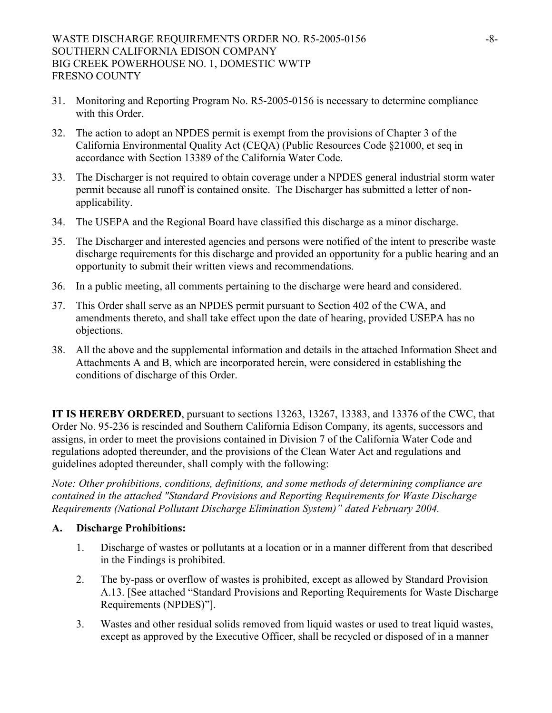- 31. Monitoring and Reporting Program No. R5-2005-0156 is necessary to determine compliance with this Order.
- 32. The action to adopt an NPDES permit is exempt from the provisions of Chapter 3 of the California Environmental Quality Act (CEQA) (Public Resources Code §21000, et seq in accordance with Section 13389 of the California Water Code.
- 33. The Discharger is not required to obtain coverage under a NPDES general industrial storm water permit because all runoff is contained onsite. The Discharger has submitted a letter of nonapplicability.
- 34. The USEPA and the Regional Board have classified this discharge as a minor discharge.
- 35. The Discharger and interested agencies and persons were notified of the intent to prescribe waste discharge requirements for this discharge and provided an opportunity for a public hearing and an opportunity to submit their written views and recommendations.
- 36. In a public meeting, all comments pertaining to the discharge were heard and considered.
- 37. This Order shall serve as an NPDES permit pursuant to Section 402 of the CWA, and amendments thereto, and shall take effect upon the date of hearing, provided USEPA has no objections.
- 38. All the above and the supplemental information and details in the attached Information Sheet and Attachments A and B, which are incorporated herein, were considered in establishing the conditions of discharge of this Order.

**IT IS HEREBY ORDERED**, pursuant to sections 13263, 13267, 13383, and 13376 of the CWC, that Order No. 95-236 is rescinded and Southern California Edison Company, its agents, successors and assigns, in order to meet the provisions contained in Division 7 of the California Water Code and regulations adopted thereunder, and the provisions of the Clean Water Act and regulations and guidelines adopted thereunder, shall comply with the following:

*Note: Other prohibitions, conditions, definitions, and some methods of determining compliance are contained in the attached "Standard Provisions and Reporting Requirements for Waste Discharge Requirements (National Pollutant Discharge Elimination System)" dated February 2004.* 

#### **A. Discharge Prohibitions:**

- 1. Discharge of wastes or pollutants at a location or in a manner different from that described in the Findings is prohibited.
- 2. The by-pass or overflow of wastes is prohibited, except as allowed by Standard Provision A.13. [See attached "Standard Provisions and Reporting Requirements for Waste Discharge Requirements (NPDES)"].
- 3. Wastes and other residual solids removed from liquid wastes or used to treat liquid wastes, except as approved by the Executive Officer, shall be recycled or disposed of in a manner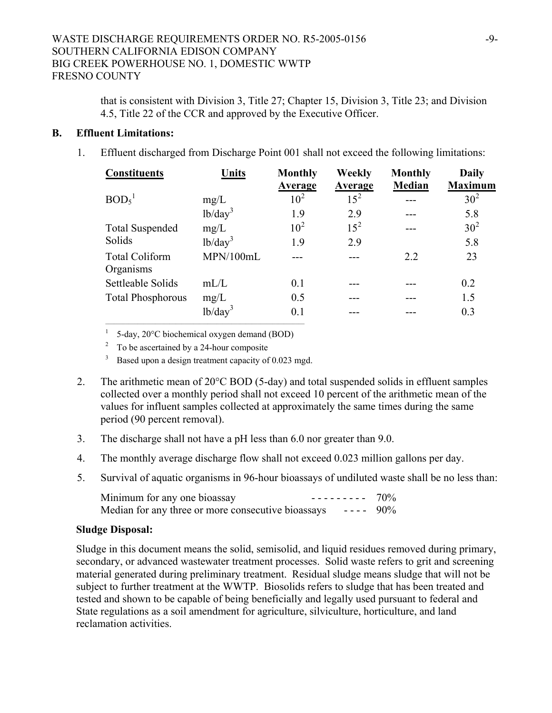that is consistent with Division 3, Title 27; Chapter 15, Division 3, Title 23; and Division 4.5, Title 22 of the CCR and approved by the Executive Officer.

## **B. Effluent Limitations:**

1. Effluent discharged from Discharge Point 001 shall not exceed the following limitations:

| <b>Constituents</b>                | Units               | <b>Monthly</b><br><b>Average</b> | Weekly<br><b>Average</b> | <b>Monthly</b><br>Median | <b>Daily</b><br><b>Maximum</b> |
|------------------------------------|---------------------|----------------------------------|--------------------------|--------------------------|--------------------------------|
| BOD <sub>5</sub> <sup>1</sup>      | mg/L                | $10^{2}$                         | $15^2$                   |                          | 30 <sup>2</sup>                |
|                                    | lb/day <sup>3</sup> | 1.9                              | 2.9                      |                          | 5.8                            |
| <b>Total Suspended</b>             | mg/L                | 10 <sup>2</sup>                  | $15^2$                   |                          | 30 <sup>2</sup>                |
| Solids                             | $1b/day^3$          | 1.9                              | 2.9                      |                          | 5.8                            |
| <b>Total Coliform</b><br>Organisms | MPN/100mL           |                                  |                          | 2.2                      | 23                             |
| Settleable Solids                  | mL/L                | 0.1                              |                          |                          | 0.2                            |
| <b>Total Phosphorous</b>           | mg/L                | 0.5                              |                          |                          | 1.5                            |
|                                    | $1b/day^3$          | 0.1                              |                          |                          | 0.3                            |

1 5-day, 20°C biochemical oxygen demand (BOD)

2 To be ascertained by a 24-hour composite

<sup>3</sup> Based upon a design treatment capacity of 0.023 mgd.

- 2. The arithmetic mean of 20°C BOD (5-day) and total suspended solids in effluent samples collected over a monthly period shall not exceed 10 percent of the arithmetic mean of the values for influent samples collected at approximately the same times during the same period (90 percent removal).
- 3. The discharge shall not have a pH less than 6.0 nor greater than 9.0.
- 4. The monthly average discharge flow shall not exceed 0.023 million gallons per day.
- 5. Survival of aquatic organisms in 96-hour bioassays of undiluted waste shall be no less than:

| Minimum for any one bioassay<br>$------ 70\%$                     |  |
|-------------------------------------------------------------------|--|
| Median for any three or more consecutive bioassays $- - - - 90\%$ |  |

## **Sludge Disposal:**

Sludge in this document means the solid, semisolid, and liquid residues removed during primary, secondary, or advanced wastewater treatment processes. Solid waste refers to grit and screening material generated during preliminary treatment. Residual sludge means sludge that will not be subject to further treatment at the WWTP. Biosolids refers to sludge that has been treated and tested and shown to be capable of being beneficially and legally used pursuant to federal and State regulations as a soil amendment for agriculture, silviculture, horticulture, and land reclamation activities.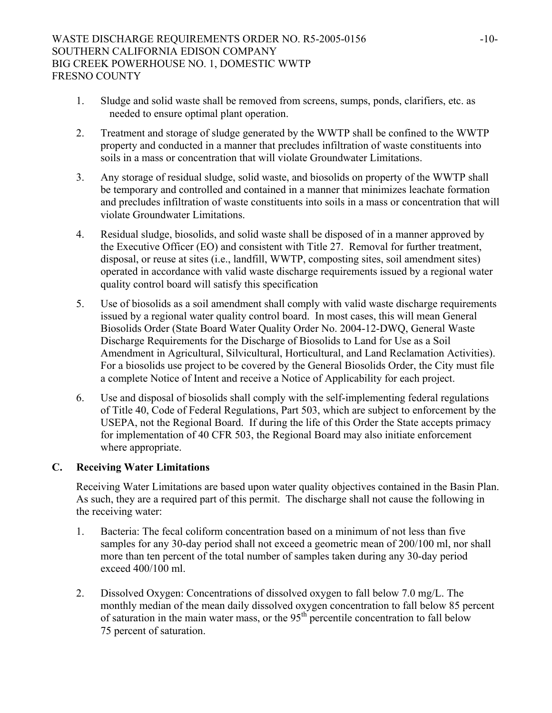- 1. Sludge and solid waste shall be removed from screens, sumps, ponds, clarifiers, etc. as needed to ensure optimal plant operation.
- 2. Treatment and storage of sludge generated by the WWTP shall be confined to the WWTP property and conducted in a manner that precludes infiltration of waste constituents into soils in a mass or concentration that will violate Groundwater Limitations.
- 3. Any storage of residual sludge, solid waste, and biosolids on property of the WWTP shall be temporary and controlled and contained in a manner that minimizes leachate formation and precludes infiltration of waste constituents into soils in a mass or concentration that will violate Groundwater Limitations.
- 4. Residual sludge, biosolids, and solid waste shall be disposed of in a manner approved by the Executive Officer (EO) and consistent with Title 27. Removal for further treatment, disposal, or reuse at sites (i.e., landfill, WWTP, composting sites, soil amendment sites) operated in accordance with valid waste discharge requirements issued by a regional water quality control board will satisfy this specification
- 5. Use of biosolids as a soil amendment shall comply with valid waste discharge requirements issued by a regional water quality control board. In most cases, this will mean General Biosolids Order (State Board Water Quality Order No. 2004-12-DWQ, General Waste Discharge Requirements for the Discharge of Biosolids to Land for Use as a Soil Amendment in Agricultural, Silvicultural, Horticultural, and Land Reclamation Activities). For a biosolids use project to be covered by the General Biosolids Order, the City must file a complete Notice of Intent and receive a Notice of Applicability for each project.
- 6. Use and disposal of biosolids shall comply with the self-implementing federal regulations of Title 40, Code of Federal Regulations, Part 503, which are subject to enforcement by the USEPA, not the Regional Board. If during the life of this Order the State accepts primacy for implementation of 40 CFR 503, the Regional Board may also initiate enforcement where appropriate.

# **C. Receiving Water Limitations**

Receiving Water Limitations are based upon water quality objectives contained in the Basin Plan. As such, they are a required part of this permit. The discharge shall not cause the following in the receiving water:

- 1. Bacteria: The fecal coliform concentration based on a minimum of not less than five samples for any 30-day period shall not exceed a geometric mean of 200/100 ml, nor shall more than ten percent of the total number of samples taken during any 30-day period exceed 400/100 ml.
- 2. Dissolved Oxygen: Concentrations of dissolved oxygen to fall below 7.0 mg/L. The monthly median of the mean daily dissolved oxygen concentration to fall below 85 percent of saturation in the main water mass, or the  $95<sup>th</sup>$  percentile concentration to fall below 75 percent of saturation.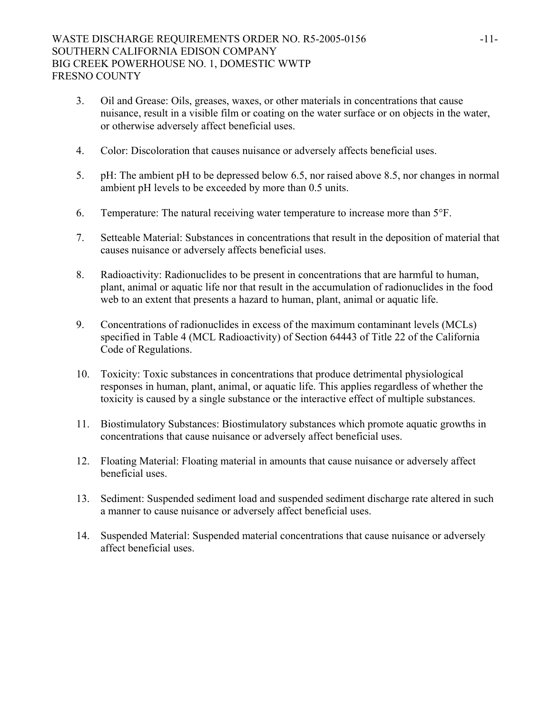- 3. Oil and Grease: Oils, greases, waxes, or other materials in concentrations that cause nuisance, result in a visible film or coating on the water surface or on objects in the water, or otherwise adversely affect beneficial uses.
- 4. Color: Discoloration that causes nuisance or adversely affects beneficial uses.
- 5. pH: The ambient pH to be depressed below 6.5, nor raised above 8.5, nor changes in normal ambient pH levels to be exceeded by more than 0.5 units.
- 6. Temperature: The natural receiving water temperature to increase more than 5°F.
- 7. Setteable Material: Substances in concentrations that result in the deposition of material that causes nuisance or adversely affects beneficial uses.
- 8. Radioactivity: Radionuclides to be present in concentrations that are harmful to human, plant, animal or aquatic life nor that result in the accumulation of radionuclides in the food web to an extent that presents a hazard to human, plant, animal or aquatic life.
- 9. Concentrations of radionuclides in excess of the maximum contaminant levels (MCLs) specified in Table 4 (MCL Radioactivity) of Section 64443 of Title 22 of the California Code of Regulations.
- 10. Toxicity: Toxic substances in concentrations that produce detrimental physiological responses in human, plant, animal, or aquatic life. This applies regardless of whether the toxicity is caused by a single substance or the interactive effect of multiple substances.
- 11. Biostimulatory Substances: Biostimulatory substances which promote aquatic growths in concentrations that cause nuisance or adversely affect beneficial uses.
- 12. Floating Material: Floating material in amounts that cause nuisance or adversely affect beneficial uses.
- 13. Sediment: Suspended sediment load and suspended sediment discharge rate altered in such a manner to cause nuisance or adversely affect beneficial uses.
- 14. Suspended Material: Suspended material concentrations that cause nuisance or adversely affect beneficial uses.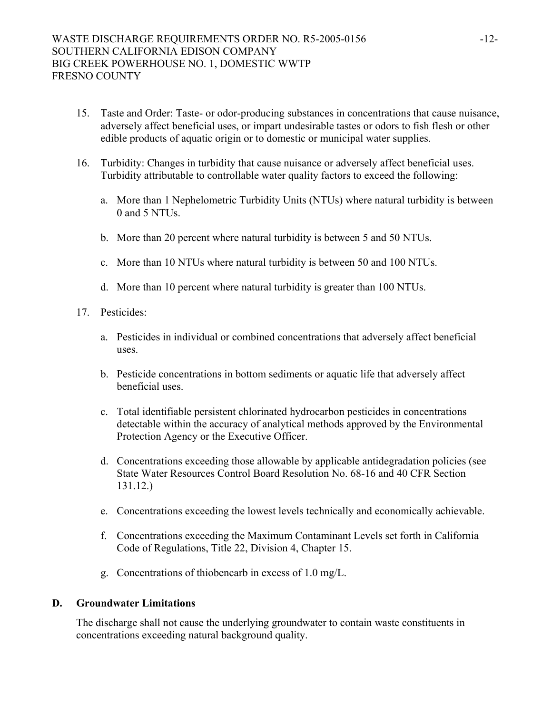- 15. Taste and Order: Taste- or odor-producing substances in concentrations that cause nuisance, adversely affect beneficial uses, or impart undesirable tastes or odors to fish flesh or other edible products of aquatic origin or to domestic or municipal water supplies.
- 16. Turbidity: Changes in turbidity that cause nuisance or adversely affect beneficial uses. Turbidity attributable to controllable water quality factors to exceed the following:
	- a. More than 1 Nephelometric Turbidity Units (NTUs) where natural turbidity is between 0 and 5 NTUs.
	- b. More than 20 percent where natural turbidity is between 5 and 50 NTUs.
	- c. More than 10 NTUs where natural turbidity is between 50 and 100 NTUs.
	- d. More than 10 percent where natural turbidity is greater than 100 NTUs.
- 17. Pesticides:
	- a. Pesticides in individual or combined concentrations that adversely affect beneficial uses.
	- b. Pesticide concentrations in bottom sediments or aquatic life that adversely affect beneficial uses.
	- c. Total identifiable persistent chlorinated hydrocarbon pesticides in concentrations detectable within the accuracy of analytical methods approved by the Environmental Protection Agency or the Executive Officer.
	- d. Concentrations exceeding those allowable by applicable antidegradation policies (see State Water Resources Control Board Resolution No. 68-16 and 40 CFR Section 131.12.)
	- e. Concentrations exceeding the lowest levels technically and economically achievable.
	- f. Concentrations exceeding the Maximum Contaminant Levels set forth in California Code of Regulations, Title 22, Division 4, Chapter 15.
	- g. Concentrations of thiobencarb in excess of 1.0 mg/L.

#### **D. Groundwater Limitations**

The discharge shall not cause the underlying groundwater to contain waste constituents in concentrations exceeding natural background quality.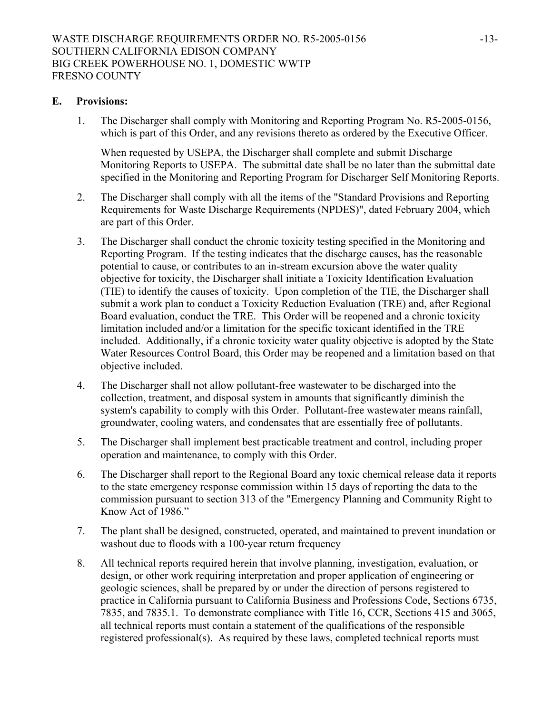#### **E. Provisions:**

1. The Discharger shall comply with Monitoring and Reporting Program No. R5-2005-0156, which is part of this Order, and any revisions thereto as ordered by the Executive Officer.

When requested by USEPA, the Discharger shall complete and submit Discharge Monitoring Reports to USEPA. The submittal date shall be no later than the submittal date specified in the Monitoring and Reporting Program for Discharger Self Monitoring Reports.

- 2. The Discharger shall comply with all the items of the "Standard Provisions and Reporting Requirements for Waste Discharge Requirements (NPDES)", dated February 2004, which are part of this Order.
- 3. The Discharger shall conduct the chronic toxicity testing specified in the Monitoring and Reporting Program. If the testing indicates that the discharge causes, has the reasonable potential to cause, or contributes to an in-stream excursion above the water quality objective for toxicity, the Discharger shall initiate a Toxicity Identification Evaluation (TIE) to identify the causes of toxicity. Upon completion of the TIE, the Discharger shall submit a work plan to conduct a Toxicity Reduction Evaluation (TRE) and, after Regional Board evaluation, conduct the TRE. This Order will be reopened and a chronic toxicity limitation included and/or a limitation for the specific toxicant identified in the TRE included. Additionally, if a chronic toxicity water quality objective is adopted by the State Water Resources Control Board, this Order may be reopened and a limitation based on that objective included.
- 4. The Discharger shall not allow pollutant-free wastewater to be discharged into the collection, treatment, and disposal system in amounts that significantly diminish the system's capability to comply with this Order. Pollutant-free wastewater means rainfall, groundwater, cooling waters, and condensates that are essentially free of pollutants.
- 5. The Discharger shall implement best practicable treatment and control, including proper operation and maintenance, to comply with this Order.
- 6. The Discharger shall report to the Regional Board any toxic chemical release data it reports to the state emergency response commission within 15 days of reporting the data to the commission pursuant to section 313 of the "Emergency Planning and Community Right to Know Act of 1986."
- 7. The plant shall be designed, constructed, operated, and maintained to prevent inundation or washout due to floods with a 100-year return frequency
- 8. All technical reports required herein that involve planning, investigation, evaluation, or design, or other work requiring interpretation and proper application of engineering or geologic sciences, shall be prepared by or under the direction of persons registered to practice in California pursuant to California Business and Professions Code, Sections 6735, 7835, and 7835.1. To demonstrate compliance with Title 16, CCR, Sections 415 and 3065, all technical reports must contain a statement of the qualifications of the responsible registered professional(s). As required by these laws, completed technical reports must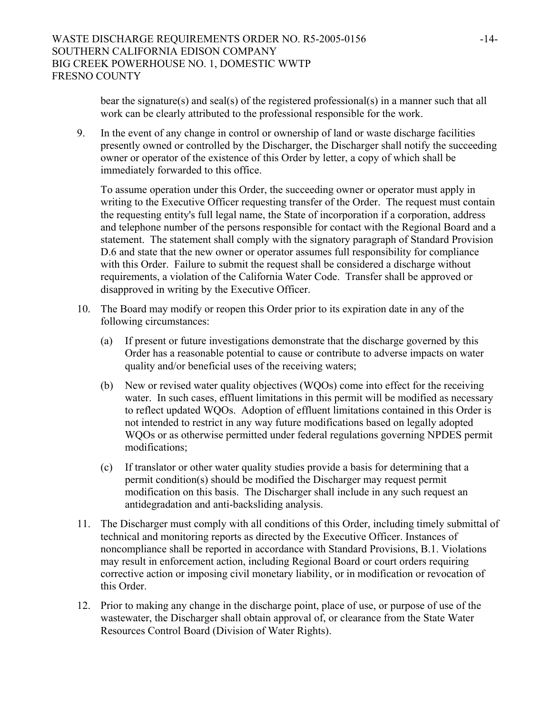bear the signature(s) and seal(s) of the registered professional(s) in a manner such that all work can be clearly attributed to the professional responsible for the work.

9. In the event of any change in control or ownership of land or waste discharge facilities presently owned or controlled by the Discharger, the Discharger shall notify the succeeding owner or operator of the existence of this Order by letter, a copy of which shall be immediately forwarded to this office.

To assume operation under this Order, the succeeding owner or operator must apply in writing to the Executive Officer requesting transfer of the Order. The request must contain the requesting entity's full legal name, the State of incorporation if a corporation, address and telephone number of the persons responsible for contact with the Regional Board and a statement. The statement shall comply with the signatory paragraph of Standard Provision D.6 and state that the new owner or operator assumes full responsibility for compliance with this Order. Failure to submit the request shall be considered a discharge without requirements, a violation of the California Water Code. Transfer shall be approved or disapproved in writing by the Executive Officer.

- 10. The Board may modify or reopen this Order prior to its expiration date in any of the following circumstances:
	- (a) If present or future investigations demonstrate that the discharge governed by this Order has a reasonable potential to cause or contribute to adverse impacts on water quality and/or beneficial uses of the receiving waters;
	- (b) New or revised water quality objectives (WQOs) come into effect for the receiving water. In such cases, effluent limitations in this permit will be modified as necessary to reflect updated WQOs. Adoption of effluent limitations contained in this Order is not intended to restrict in any way future modifications based on legally adopted WQOs or as otherwise permitted under federal regulations governing NPDES permit modifications;
	- (c) If translator or other water quality studies provide a basis for determining that a permit condition(s) should be modified the Discharger may request permit modification on this basis. The Discharger shall include in any such request an antidegradation and anti-backsliding analysis.
- 11. The Discharger must comply with all conditions of this Order, including timely submittal of technical and monitoring reports as directed by the Executive Officer. Instances of noncompliance shall be reported in accordance with Standard Provisions, B.1. Violations may result in enforcement action, including Regional Board or court orders requiring corrective action or imposing civil monetary liability, or in modification or revocation of this Order.
- 12. Prior to making any change in the discharge point, place of use, or purpose of use of the wastewater, the Discharger shall obtain approval of, or clearance from the State Water Resources Control Board (Division of Water Rights).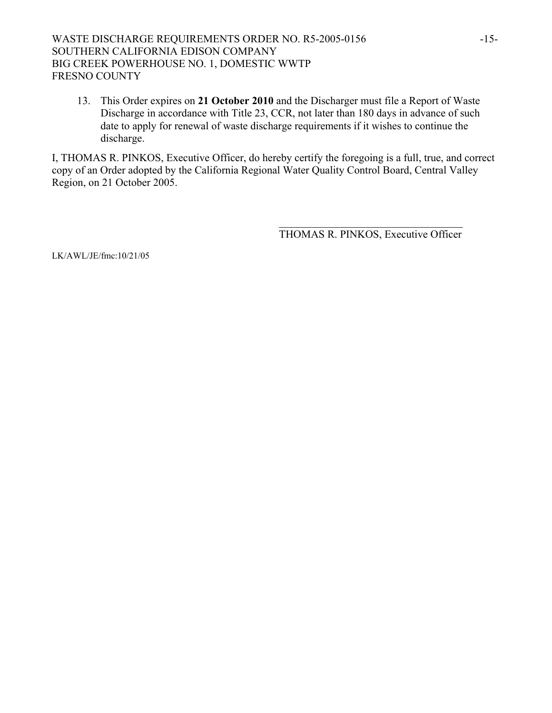## WASTE DISCHARGE REQUIREMENTS ORDER NO. R5-2005-0156 -15-SOUTHERN CALIFORNIA EDISON COMPANY BIG CREEK POWERHOUSE NO. 1, DOMESTIC WWTP FRESNO COUNTY

13. This Order expires on **21 October 2010** and the Discharger must file a Report of Waste Discharge in accordance with Title 23, CCR, not later than 180 days in advance of such date to apply for renewal of waste discharge requirements if it wishes to continue the discharge.

I, THOMAS R. PINKOS, Executive Officer, do hereby certify the foregoing is a full, true, and correct copy of an Order adopted by the California Regional Water Quality Control Board, Central Valley Region, on 21 October 2005.

 $\mathcal{L}_\text{max}$  and  $\mathcal{L}_\text{max}$  and  $\mathcal{L}_\text{max}$  and  $\mathcal{L}_\text{max}$  and  $\mathcal{L}_\text{max}$  and  $\mathcal{L}_\text{max}$ 

THOMAS R. PINKOS, Executive Officer

LK/AWL/JE/fmc:10/21/05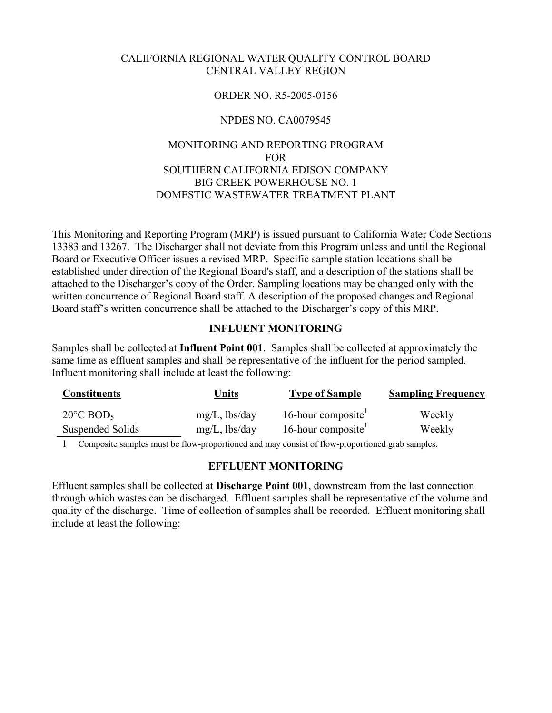#### CALIFORNIA REGIONAL WATER QUALITY CONTROL BOARD CENTRAL VALLEY REGION

## ORDER NO. R5-2005-0156

## NPDES NO. CA0079545

# MONITORING AND REPORTING PROGRAM FOR SOUTHERN CALIFORNIA EDISON COMPANY BIG CREEK POWERHOUSE NO. 1 DOMESTIC WASTEWATER TREATMENT PLANT

This Monitoring and Reporting Program (MRP) is issued pursuant to California Water Code Sections 13383 and 13267. The Discharger shall not deviate from this Program unless and until the Regional Board or Executive Officer issues a revised MRP. Specific sample station locations shall be established under direction of the Regional Board's staff, and a description of the stations shall be attached to the Discharger's copy of the Order. Sampling locations may be changed only with the written concurrence of Regional Board staff. A description of the proposed changes and Regional Board staff's written concurrence shall be attached to the Discharger's copy of this MRP.

#### **INFLUENT MONITORING**

Samples shall be collected at **Influent Point 001**. Samples shall be collected at approximately the same time as effluent samples and shall be representative of the influent for the period sampled. Influent monitoring shall include at least the following:

| <b>Constituents</b>             | <u>Units</u>     | <b>Type of Sample</b> | <b>Sampling Frequency</b> |
|---------------------------------|------------------|-----------------------|---------------------------|
| $20^{\circ}$ C BOD <sub>5</sub> | $mg/L$ , lbs/day | 16-hour composite     | Weekly                    |
| Suspended Solids                | $mg/L$ , lbs/day | 16-hour composite     | Weekly                    |

1 Composite samples must be flow-proportioned and may consist of flow-proportioned grab samples.

#### **EFFLUENT MONITORING**

Effluent samples shall be collected at **Discharge Point 001**, downstream from the last connection through which wastes can be discharged. Effluent samples shall be representative of the volume and quality of the discharge. Time of collection of samples shall be recorded. Effluent monitoring shall include at least the following: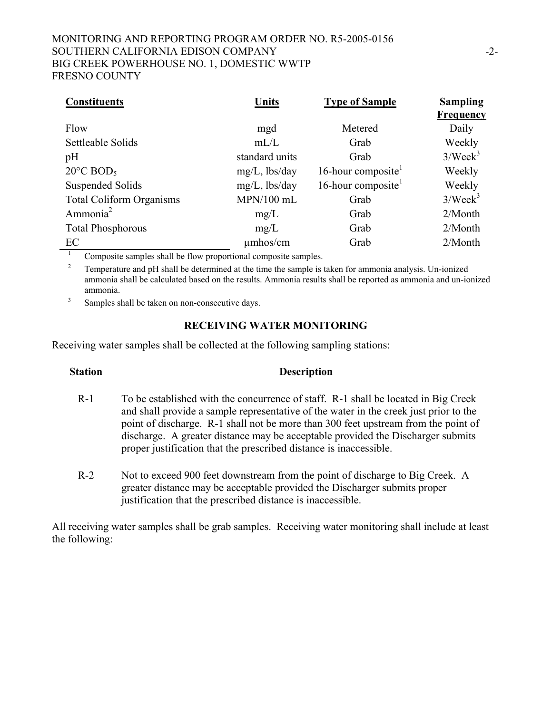## MONITORING AND REPORTING PROGRAM ORDER NO. R5-2005-0156 SOUTHERN CALIFORNIA EDISON COMPANY -2- BIG CREEK POWERHOUSE NO. 1, DOMESTIC WWTP FRESNO COUNTY

| <b>Constituents</b>                                            | <b>Units</b>     | <b>Type of Sample</b> | <b>Sampling</b><br>Frequency |
|----------------------------------------------------------------|------------------|-----------------------|------------------------------|
| Flow                                                           | mgd              | Metered               | Daily                        |
| Settleable Solids                                              | mL/L             | Grab                  | Weekly                       |
| pH                                                             | standard units   | Grab                  | 3/Week <sup>3</sup>          |
| $20^{\circ}$ C BOD <sub>5</sub>                                | $mg/L$ , lbs/day | 16-hour composite     | Weekly                       |
| Suspended Solids                                               | $mg/L$ , lbs/day | 16-hour composite     | Weekly                       |
| <b>Total Coliform Organisms</b>                                | $MPN/100$ mL     | Grab                  | 3/Week <sup>3</sup>          |
| Ammonia <sup>2</sup>                                           | mg/L             | Grab                  | $2/M$ onth                   |
| <b>Total Phosphorous</b>                                       | mg/L             | Grab                  | $2/M$ onth                   |
| EC                                                             | $\mu$ mhos/cm    | Grab                  | $2/M$ onth                   |
| Composite samples shall be flow proportional composite samples |                  |                       |                              |

Composite samples shall be flow proportional composite samples.

<sup>2</sup> Temperature and pH shall be determined at the time the sample is taken for ammonia analysis. Un-ionized ammonia shall be calculated based on the results. Ammonia results shall be reported as ammonia and un-ionized ammonia.

3 Samples shall be taken on non-consecutive days.

#### **RECEIVING WATER MONITORING**

Receiving water samples shall be collected at the following sampling stations:

## **Station Description**

- R-1 To be established with the concurrence of staff. R-1 shall be located in Big Creek and shall provide a sample representative of the water in the creek just prior to the point of discharge. R-1 shall not be more than 300 feet upstream from the point of discharge. A greater distance may be acceptable provided the Discharger submits proper justification that the prescribed distance is inaccessible.
- R-2 Not to exceed 900 feet downstream from the point of discharge to Big Creek. A greater distance may be acceptable provided the Discharger submits proper justification that the prescribed distance is inaccessible.

All receiving water samples shall be grab samples. Receiving water monitoring shall include at least the following: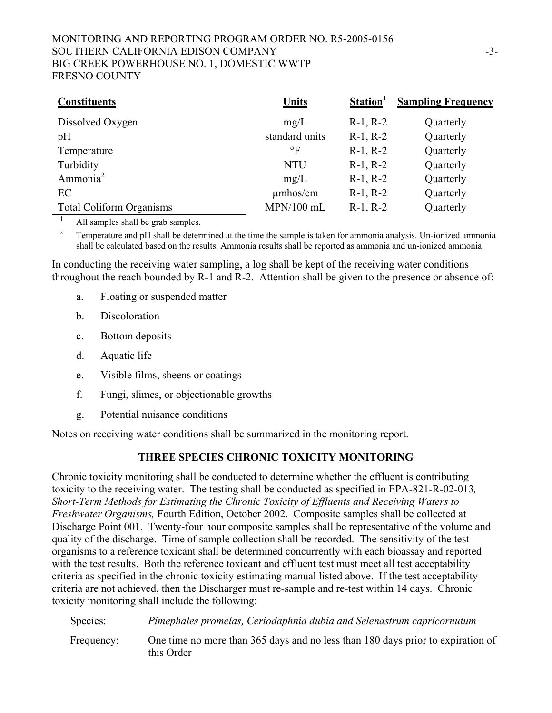## MONITORING AND REPORTING PROGRAM ORDER NO. R5-2005-0156 SOUTHERN CALIFORNIA EDISON COMPANY -3- BIG CREEK POWERHOUSE NO. 1, DOMESTIC WWTP FRESNO COUNTY

| <b>Constituents</b>             | Units          | Station <sup>1</sup> | <b>Sampling Frequency</b> |
|---------------------------------|----------------|----------------------|---------------------------|
| Dissolved Oxygen                | mg/L           | $R-1, R-2$           | Quarterly                 |
| pH                              | standard units | $R-1, R-2$           | Quarterly                 |
| Temperature                     | $\circ$ F      | $R-1, R-2$           | Quarterly                 |
| Turbidity                       | <b>NTU</b>     | $R-1, R-2$           | Quarterly                 |
| Ammonia <sup>2</sup>            | mg/L           | $R-1, R-2$           | Quarterly                 |
| EC                              | $\mu$ mhos/cm  | $R-1, R-2$           | Quarterly                 |
| <b>Total Coliform Organisms</b> | $MPN/100$ mL   | $R-1, R-2$           | Quarterly                 |

 $\frac{1}{1}$  All samples shall be grab samples.

<sup>2</sup> Temperature and pH shall be determined at the time the sample is taken for ammonia analysis. Un-ionized ammonia shall be calculated based on the results. Ammonia results shall be reported as ammonia and un-ionized ammonia.

In conducting the receiving water sampling, a log shall be kept of the receiving water conditions throughout the reach bounded by R-1 and R-2. Attention shall be given to the presence or absence of:

- a. Floating or suspended matter
- b. Discoloration
- c. Bottom deposits
- d. Aquatic life
- e. Visible films, sheens or coatings
- f. Fungi, slimes, or objectionable growths
- g. Potential nuisance conditions

Notes on receiving water conditions shall be summarized in the monitoring report.

#### **THREE SPECIES CHRONIC TOXICITY MONITORING**

Chronic toxicity monitoring shall be conducted to determine whether the effluent is contributing toxicity to the receiving water. The testing shall be conducted as specified in EPA-821-R-02-013*, Short-Term Methods for Estimating the Chronic Toxicity of Effluents and Receiving Waters to Freshwater Organisms,* Fourth Edition, October 2002. Composite samples shall be collected at Discharge Point 001. Twenty-four hour composite samples shall be representative of the volume and quality of the discharge. Time of sample collection shall be recorded. The sensitivity of the test organisms to a reference toxicant shall be determined concurrently with each bioassay and reported with the test results. Both the reference toxicant and effluent test must meet all test acceptability criteria as specified in the chronic toxicity estimating manual listed above. If the test acceptability criteria are not achieved, then the Discharger must re-sample and re-test within 14 days. Chronic toxicity monitoring shall include the following:

Species: *Pimephales promelas, Ceriodaphnia dubia and Selenastrum capricornutum* Frequency: One time no more than 365 days and no less than 180 days prior to expiration of this Order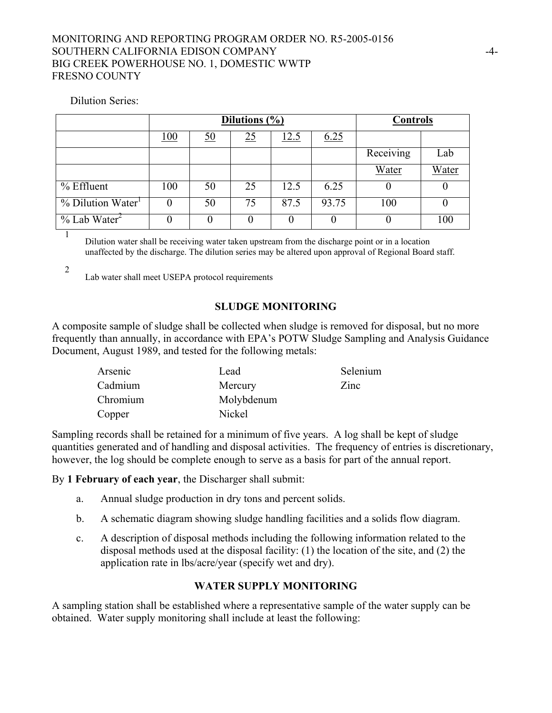#### MONITORING AND REPORTING PROGRAM ORDER NO. R5-2005-0156 SOUTHERN CALIFORNIA EDISON COMPANY  $-4$ -BIG CREEK POWERHOUSE NO. 1, DOMESTIC WWTP FRESNO COUNTY

#### Dilution Series:

|                                  | Dilutions (%) |           |    |      | <b>Controls</b> |           |       |
|----------------------------------|---------------|-----------|----|------|-----------------|-----------|-------|
|                                  | 100           | <u>50</u> | 25 | 12.5 | 6.25            |           |       |
|                                  |               |           |    |      |                 | Receiving | Lab   |
|                                  |               |           |    |      |                 | Water     | Water |
| $%$ Effluent                     | 100           | 50        | 25 | 12.5 | 6.25            | $\theta$  |       |
| $\%$ Dilution Water <sup>1</sup> | $\theta$      | 50        | 75 | 87.5 | 93.75           | 100       | O     |
| $\%$ Lab Water <sup>2</sup>      |               | 0         |    |      |                 | 0         | 100   |
|                                  |               |           |    |      |                 |           |       |

Dilution water shall be receiving water taken upstream from the discharge point or in a location unaffected by the discharge. The dilution series may be altered upon approval of Regional Board staff.

2

Lab water shall meet USEPA protocol requirements

#### **SLUDGE MONITORING**

A composite sample of sludge shall be collected when sludge is removed for disposal, but no more frequently than annually, in accordance with EPA's POTW Sludge Sampling and Analysis Guidance Document, August 1989, and tested for the following metals:

| Arsenic  | Lead       | Selenium |
|----------|------------|----------|
| Cadmium  | Mercury    | Zinc     |
| Chromium | Molybdenum |          |
| Copper   | Nickel     |          |

Sampling records shall be retained for a minimum of five years. A log shall be kept of sludge quantities generated and of handling and disposal activities. The frequency of entries is discretionary, however, the log should be complete enough to serve as a basis for part of the annual report.

By **1 February of each year**, the Discharger shall submit:

- a. Annual sludge production in dry tons and percent solids.
- b. A schematic diagram showing sludge handling facilities and a solids flow diagram.
- c. A description of disposal methods including the following information related to the disposal methods used at the disposal facility: (1) the location of the site, and (2) the application rate in lbs/acre/year (specify wet and dry).

## **WATER SUPPLY MONITORING**

A sampling station shall be established where a representative sample of the water supply can be obtained. Water supply monitoring shall include at least the following: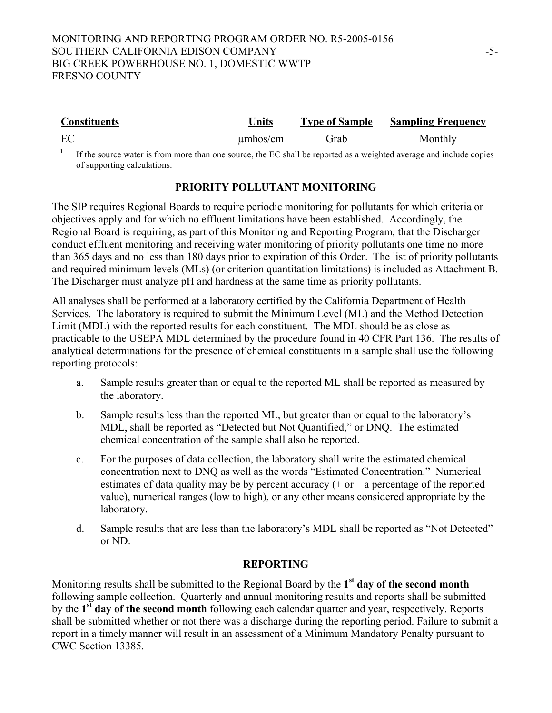| <b>Constituents</b> | Units         | <b>Type of Sample</b> | <b>Sampling Frequency</b> |
|---------------------|---------------|-----------------------|---------------------------|
| EC                  | $\mu$ mhos/cm | Grab                  | Monthly                   |

<sup>1</sup> If the source water is from more than one source, the EC shall be reported as a weighted average and include copies of supporting calculations.

# **PRIORITY POLLUTANT MONITORING**

The SIP requires Regional Boards to require periodic monitoring for pollutants for which criteria or objectives apply and for which no effluent limitations have been established. Accordingly, the Regional Board is requiring, as part of this Monitoring and Reporting Program, that the Discharger conduct effluent monitoring and receiving water monitoring of priority pollutants one time no more than 365 days and no less than 180 days prior to expiration of this Order. The list of priority pollutants and required minimum levels (MLs) (or criterion quantitation limitations) is included as Attachment B. The Discharger must analyze pH and hardness at the same time as priority pollutants.

All analyses shall be performed at a laboratory certified by the California Department of Health Services. The laboratory is required to submit the Minimum Level (ML) and the Method Detection Limit (MDL) with the reported results for each constituent. The MDL should be as close as practicable to the USEPA MDL determined by the procedure found in 40 CFR Part 136. The results of analytical determinations for the presence of chemical constituents in a sample shall use the following reporting protocols:

- a. Sample results greater than or equal to the reported ML shall be reported as measured by the laboratory.
- b. Sample results less than the reported ML, but greater than or equal to the laboratory's MDL, shall be reported as "Detected but Not Quantified," or DNQ. The estimated chemical concentration of the sample shall also be reported.
- c. For the purposes of data collection, the laboratory shall write the estimated chemical concentration next to DNQ as well as the words "Estimated Concentration." Numerical estimates of data quality may be by percent accuracy  $(+)$  or  $-$  a percentage of the reported value), numerical ranges (low to high), or any other means considered appropriate by the laboratory.
- d. Sample results that are less than the laboratory's MDL shall be reported as "Not Detected" or ND.

# **REPORTING**

Monitoring results shall be submitted to the Regional Board by the **1st day of the second month** following sample collection. Quarterly and annual monitoring results and reports shall be submitted by the **1st day of the second month** following each calendar quarter and year, respectively. Reports shall be submitted whether or not there was a discharge during the reporting period. Failure to submit a report in a timely manner will result in an assessment of a Minimum Mandatory Penalty pursuant to CWC Section 13385.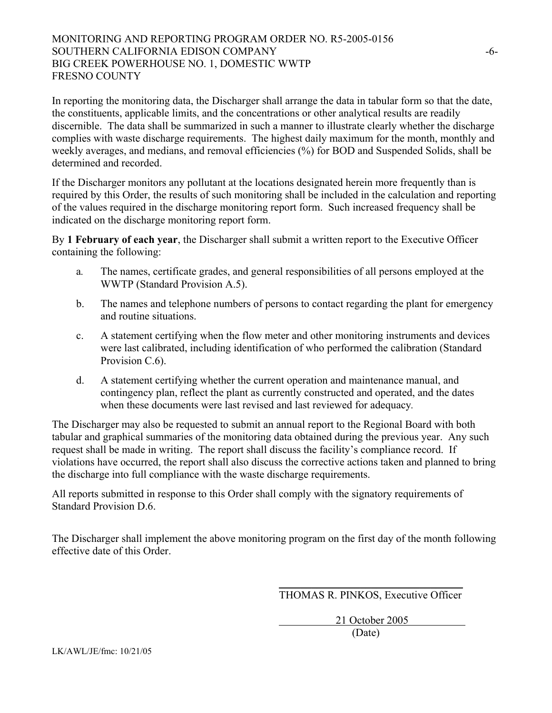## MONITORING AND REPORTING PROGRAM ORDER NO. R5-2005-0156 SOUTHERN CALIFORNIA EDISON COMPANY  $-6-$ BIG CREEK POWERHOUSE NO. 1, DOMESTIC WWTP FRESNO COUNTY

In reporting the monitoring data, the Discharger shall arrange the data in tabular form so that the date, the constituents, applicable limits, and the concentrations or other analytical results are readily discernible. The data shall be summarized in such a manner to illustrate clearly whether the discharge complies with waste discharge requirements. The highest daily maximum for the month, monthly and weekly averages, and medians, and removal efficiencies (%) for BOD and Suspended Solids, shall be determined and recorded.

If the Discharger monitors any pollutant at the locations designated herein more frequently than is required by this Order, the results of such monitoring shall be included in the calculation and reporting of the values required in the discharge monitoring report form. Such increased frequency shall be indicated on the discharge monitoring report form.

By **1 February of each year**, the Discharger shall submit a written report to the Executive Officer containing the following:

- a*.* The names, certificate grades, and general responsibilities of all persons employed at the WWTP (Standard Provision A.5).
- b. The names and telephone numbers of persons to contact regarding the plant for emergency and routine situations.
- c. A statement certifying when the flow meter and other monitoring instruments and devices were last calibrated, including identification of who performed the calibration (Standard Provision C.6).
- d. A statement certifying whether the current operation and maintenance manual, and contingency plan, reflect the plant as currently constructed and operated, and the dates when these documents were last revised and last reviewed for adequacy*.*

The Discharger may also be requested to submit an annual report to the Regional Board with both tabular and graphical summaries of the monitoring data obtained during the previous year. Any such request shall be made in writing. The report shall discuss the facility's compliance record. If violations have occurred, the report shall also discuss the corrective actions taken and planned to bring the discharge into full compliance with the waste discharge requirements.

All reports submitted in response to this Order shall comply with the signatory requirements of Standard Provision D.6.

 $\frac{1}{\sqrt{2}}$  ,  $\frac{1}{\sqrt{2}}$  ,  $\frac{1}{\sqrt{2}}$  ,  $\frac{1}{\sqrt{2}}$  ,  $\frac{1}{\sqrt{2}}$  ,  $\frac{1}{\sqrt{2}}$  ,  $\frac{1}{\sqrt{2}}$  ,  $\frac{1}{\sqrt{2}}$  ,  $\frac{1}{\sqrt{2}}$  ,  $\frac{1}{\sqrt{2}}$  ,  $\frac{1}{\sqrt{2}}$  ,  $\frac{1}{\sqrt{2}}$  ,  $\frac{1}{\sqrt{2}}$  ,  $\frac{1}{\sqrt{2}}$  ,  $\frac{1}{\sqrt{2}}$ 

The Discharger shall implement the above monitoring program on the first day of the month following effective date of this Order.

THOMAS R. PINKOS, Executive Officer

 21 October 2005 (Date)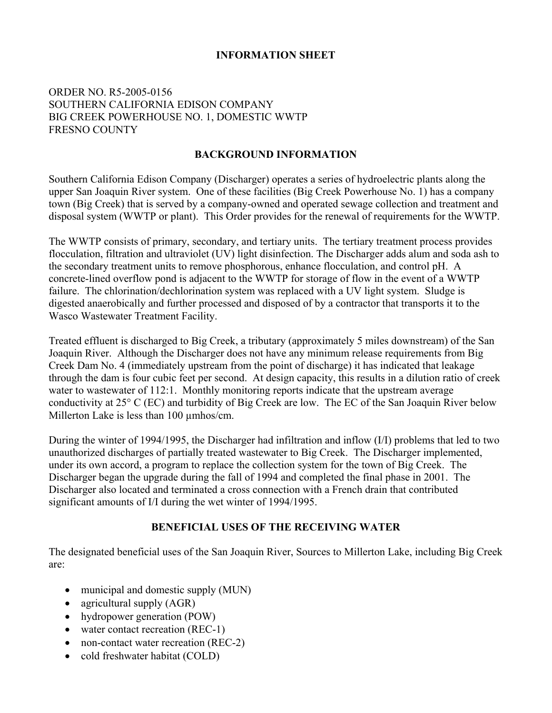## **INFORMATION SHEET**

## ORDER NO. R5-2005-0156 SOUTHERN CALIFORNIA EDISON COMPANY BIG CREEK POWERHOUSE NO. 1, DOMESTIC WWTP FRESNO COUNTY

#### **BACKGROUND INFORMATION**

Southern California Edison Company (Discharger) operates a series of hydroelectric plants along the upper San Joaquin River system. One of these facilities (Big Creek Powerhouse No. 1) has a company town (Big Creek) that is served by a company-owned and operated sewage collection and treatment and disposal system (WWTP or plant). This Order provides for the renewal of requirements for the WWTP.

The WWTP consists of primary, secondary, and tertiary units. The tertiary treatment process provides flocculation, filtration and ultraviolet (UV) light disinfection. The Discharger adds alum and soda ash to the secondary treatment units to remove phosphorous, enhance flocculation, and control pH. A concrete-lined overflow pond is adjacent to the WWTP for storage of flow in the event of a WWTP failure. The chlorination/dechlorination system was replaced with a UV light system. Sludge is digested anaerobically and further processed and disposed of by a contractor that transports it to the Wasco Wastewater Treatment Facility.

Treated effluent is discharged to Big Creek, a tributary (approximately 5 miles downstream) of the San Joaquin River. Although the Discharger does not have any minimum release requirements from Big Creek Dam No. 4 (immediately upstream from the point of discharge) it has indicated that leakage through the dam is four cubic feet per second. At design capacity, this results in a dilution ratio of creek water to wastewater of 112:1. Monthly monitoring reports indicate that the upstream average conductivity at 25° C (EC) and turbidity of Big Creek are low. The EC of the San Joaquin River below Millerton Lake is less than 100  $\mu$ mhos/cm.

During the winter of 1994/1995, the Discharger had infiltration and inflow (I/I) problems that led to two unauthorized discharges of partially treated wastewater to Big Creek. The Discharger implemented, under its own accord, a program to replace the collection system for the town of Big Creek. The Discharger began the upgrade during the fall of 1994 and completed the final phase in 2001. The Discharger also located and terminated a cross connection with a French drain that contributed significant amounts of I/I during the wet winter of 1994/1995.

## **BENEFICIAL USES OF THE RECEIVING WATER**

The designated beneficial uses of the San Joaquin River, Sources to Millerton Lake, including Big Creek are:

- municipal and domestic supply (MUN)
- agricultural supply (AGR)
- hydropower generation (POW)
- water contact recreation (REC-1)
- non-contact water recreation (REC-2)
- cold freshwater habitat (COLD)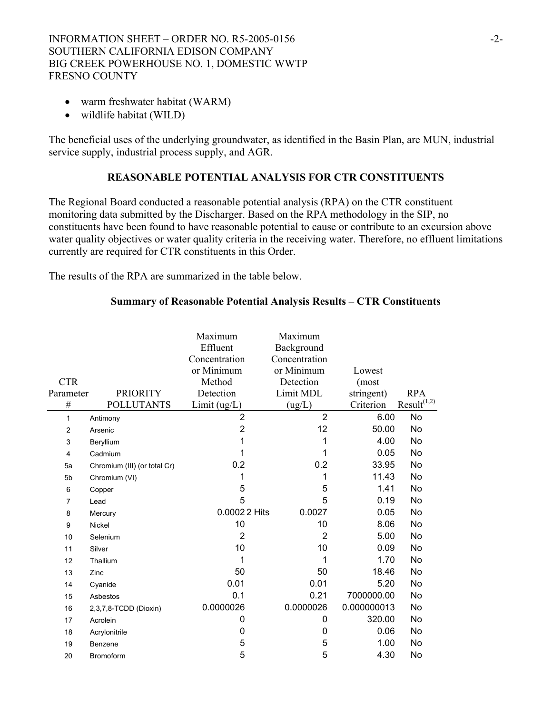- warm freshwater habitat (WARM)
- wildlife habitat (WILD)

The beneficial uses of the underlying groundwater, as identified in the Basin Plan, are MUN, industrial service supply, industrial process supply, and AGR.

#### **REASONABLE POTENTIAL ANALYSIS FOR CTR CONSTITUENTS**

The Regional Board conducted a reasonable potential analysis (RPA) on the CTR constituent monitoring data submitted by the Discharger. Based on the RPA methodology in the SIP, no constituents have been found to have reasonable potential to cause or contribute to an excursion above water quality objectives or water quality criteria in the receiving water. Therefore, no effluent limitations currently are required for CTR constituents in this Order.

The results of the RPA are summarized in the table below.

| <b>CTR</b><br>Parameter | <b>PRIORITY</b>              | Maximum<br>Effluent<br>Concentration<br>or Minimum<br>Method<br>Detection | Maximum<br>Background<br>Concentration<br>or Minimum<br>Detection<br>Limit MDL | Lowest<br>(most<br>stringent) | <b>RPA</b>              |
|-------------------------|------------------------------|---------------------------------------------------------------------------|--------------------------------------------------------------------------------|-------------------------------|-------------------------|
| $\#$                    | <b>POLLUTANTS</b>            | Limit(ug/L)                                                               | (ug/L)                                                                         | Criterion                     | Result <sup>(1,2)</sup> |
| $\mathbf{1}$            | Antimony                     | $\overline{2}$                                                            | $\overline{2}$                                                                 | 6.00                          | No                      |
| $\overline{2}$          | Arsenic                      | $\overline{2}$                                                            | 12                                                                             | 50.00                         | <b>No</b>               |
| 3                       | Beryllium                    | 1                                                                         | 1                                                                              | 4.00                          | No                      |
| 4                       | Cadmium                      | 1                                                                         | 1                                                                              | 0.05                          | No                      |
| 5a                      | Chromium (III) (or total Cr) | 0.2                                                                       | 0.2                                                                            | 33.95                         | <b>No</b>               |
| 5 <sub>b</sub>          | Chromium (VI)                | 1                                                                         | 1                                                                              | 11.43                         | No                      |
| 6                       | Copper                       | 5                                                                         | 5                                                                              | 1.41                          | No                      |
| $\overline{7}$          | Lead                         | 5                                                                         | 5                                                                              | 0.19                          | <b>No</b>               |
| 8                       | Mercury                      | 0.00022 Hits                                                              | 0.0027                                                                         | 0.05                          | No                      |
| 9                       | Nickel                       | 10                                                                        | 10                                                                             | 8.06                          | No                      |
| 10                      | Selenium                     | $\overline{2}$                                                            | $\overline{2}$                                                                 | 5.00                          | <b>No</b>               |
| 11                      | Silver                       | 10                                                                        | 10                                                                             | 0.09                          | <b>No</b>               |
| 12                      | Thallium                     | 1                                                                         | 1                                                                              | 1.70                          | <b>No</b>               |
| 13                      | Zinc                         | 50                                                                        | 50                                                                             | 18.46                         | No                      |
| 14                      | Cyanide                      | 0.01                                                                      | 0.01                                                                           | 5.20                          | No                      |
| 15                      | Asbestos                     | 0.1                                                                       | 0.21                                                                           | 7000000.00                    | No                      |
| 16                      | 2,3,7,8-TCDD (Dioxin)        | 0.0000026                                                                 | 0.0000026                                                                      | 0.000000013                   | No                      |
| 17                      | Acrolein                     | 0                                                                         | 0                                                                              | 320.00                        | No                      |
| 18                      | Acrylonitrile                | 0                                                                         | 0                                                                              | 0.06                          | No                      |
| 19                      | Benzene                      | 5                                                                         | 5                                                                              | 1.00                          | <b>No</b>               |
| 20                      | <b>Bromoform</b>             | 5                                                                         | 5                                                                              | 4.30                          | No                      |

## **Summary of Reasonable Potential Analysis Results – CTR Constituents**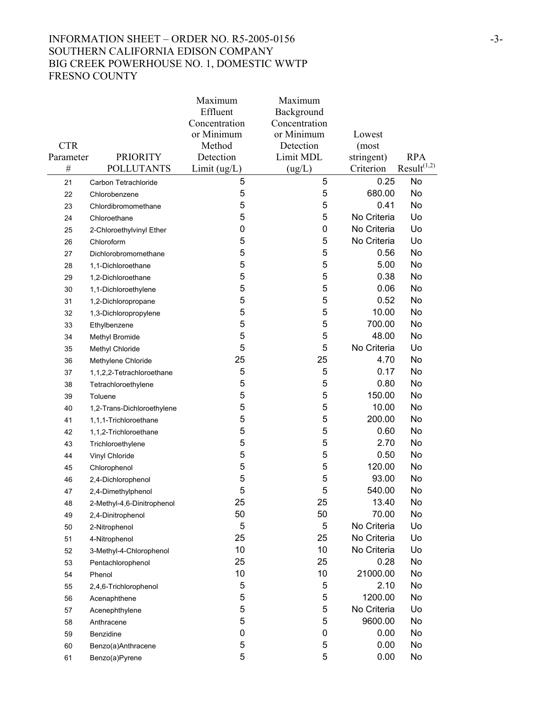# INFORMATION SHEET – ORDER NO. R5-2005-0156 -3-SOUTHERN CALIFORNIA EDISON COMPANY BIG CREEK POWERHOUSE NO. 1, DOMESTIC WWTP FRESNO COUNTY

|            |                            | Maximum       | Maximum       |             |                         |
|------------|----------------------------|---------------|---------------|-------------|-------------------------|
|            |                            | Effluent      | Background    |             |                         |
|            |                            | Concentration | Concentration |             |                         |
|            |                            | or Minimum    | or Minimum    | Lowest      |                         |
| <b>CTR</b> |                            | Method        | Detection     | (most       |                         |
| Parameter  | <b>PRIORITY</b>            | Detection     | Limit MDL     | stringent)  | <b>RPA</b>              |
| $\#$       | <b>POLLUTANTS</b>          | Limit (ug/L)  | (ug/L)        | Criterion   | Result <sup>(1,2)</sup> |
| 21         | Carbon Tetrachloride       | 5             | 5             | 0.25        | No                      |
| 22         | Chlorobenzene              | 5             | 5             | 680.00      | No                      |
| 23         | Chlordibromomethane        | 5             | 5             | 0.41        | No                      |
| 24         | Chloroethane               | 5             | 5             | No Criteria | Uo                      |
| 25         | 2-Chloroethylvinyl Ether   | 0             | 0             | No Criteria | Uo                      |
| 26         | Chloroform                 | 5             | 5             | No Criteria | Uo                      |
| 27         | Dichlorobromomethane       | 5             | 5             | 0.56        | No                      |
| 28         | 1,1-Dichloroethane         | 5             | 5             | 5.00        | No                      |
| 29         | 1,2-Dichloroethane         | 5             | 5             | 0.38        | No                      |
| 30         | 1,1-Dichloroethylene       | 5             | 5             | 0.06        | No                      |
| 31         | 1,2-Dichloropropane        | 5             | 5             | 0.52        | No                      |
| 32         | 1,3-Dichloropropylene      | 5             | 5             | 10.00       | No                      |
| 33         | Ethylbenzene               | 5             | 5             | 700.00      | No                      |
| 34         | Methyl Bromide             | 5             | 5             | 48.00       | No                      |
| 35         | Methyl Chloride            | 5             | 5             | No Criteria | Uo                      |
| 36         | Methylene Chloride         | 25            | 25            | 4.70        | No                      |
| 37         | 1,1,2,2-Tetrachloroethane  | 5             | 5             | 0.17        | No                      |
| 38         | Tetrachloroethylene        | 5             | 5             | 0.80        | <b>No</b>               |
| 39         | Toluene                    | 5             | 5             | 150.00      | No                      |
| 40         | 1,2-Trans-Dichloroethylene | 5             | 5             | 10.00       | No                      |
| 41         | 1,1,1-Trichloroethane      | 5             | 5             | 200.00      | No                      |
| 42         | 1,1,2-Trichloroethane      | 5             | 5             | 0.60        | No                      |
| 43         | Trichloroethylene          | 5             | 5             | 2.70        | No                      |
| 44         | Vinyl Chloride             | 5             | 5             | 0.50        | No                      |
| 45         | Chlorophenol               | 5             | 5             | 120.00      | No                      |
| 46         | 2,4-Dichlorophenol         | 5             | 5             | 93.00       | No                      |
| 47         | 2,4-Dimethylphenol         | 5             | 5             | 540.00      | No                      |
| 48         | 2-Methyl-4,6-Dinitrophenol | 25            | 25            | 13.40       | No                      |
| 49         | 2,4-Dinitrophenol          | 50            | 50            | 70.00       | No                      |
| 50         | 2-Nitrophenol              | 5             | 5             | No Criteria | Uo                      |
| 51         | 4-Nitrophenol              | 25            | 25            | No Criteria | Uo                      |
| 52         | 3-Methyl-4-Chlorophenol    | 10            | 10            | No Criteria | Uo                      |
| 53         | Pentachlorophenol          | 25            | 25            | 0.28        | No                      |
| 54         | Phenol                     | 10            | 10            | 21000.00    | No                      |
| 55         | 2,4,6-Trichlorophenol      | 5             | 5             | 2.10        | No                      |
| 56         | Acenaphthene               | 5             | 5             | 1200.00     | No                      |
| 57         | Acenephthylene             | 5             | 5             | No Criteria | Uo                      |
| 58         | Anthracene                 | 5             | 5             | 9600.00     | No                      |
| 59         | Benzidine                  | 0             | 0             | 0.00        | No                      |
| 60         | Benzo(a)Anthracene         | 5             | 5             | 0.00        | No                      |
| 61         | Benzo(a)Pyrene             | 5             | 5             | 0.00        | No                      |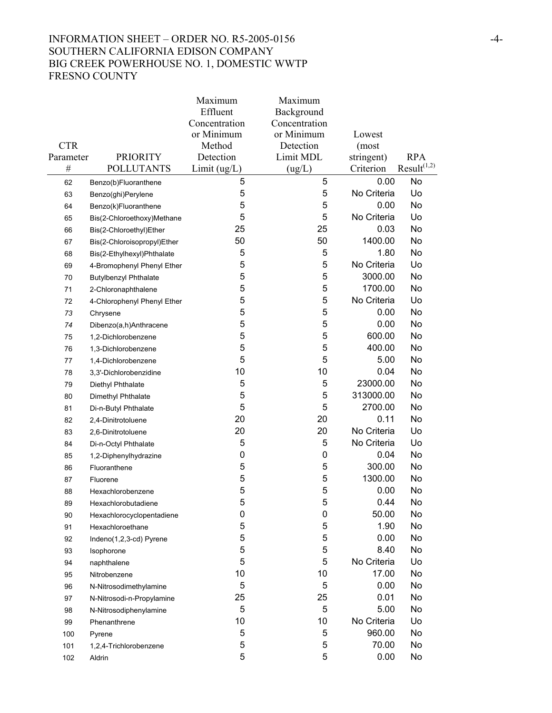# INFORMATION SHEET – ORDER NO. R5-2005-0156  $-4$ -SOUTHERN CALIFORNIA EDISON COMPANY BIG CREEK POWERHOUSE NO. 1, DOMESTIC WWTP FRESNO COUNTY

|            |                              | Maximum       | Maximum       |             |                         |
|------------|------------------------------|---------------|---------------|-------------|-------------------------|
|            |                              | Effluent      | Background    |             |                         |
|            |                              | Concentration | Concentration |             |                         |
|            |                              | or Minimum    | or Minimum    | Lowest      |                         |
| <b>CTR</b> |                              | Method        | Detection     | (most       |                         |
| Parameter  | <b>PRIORITY</b>              | Detection     | Limit MDL     | stringent)  | <b>RPA</b>              |
| $\#$       | <b>POLLUTANTS</b>            | Limit(ug/L)   | (ug/L)        | Criterion   | Result <sup>(1,2)</sup> |
| 62         | Benzo(b)Fluoranthene         | 5             | 5             | 0.00        | No                      |
| 63         | Benzo(ghi)Perylene           | 5             | 5             | No Criteria | Uo                      |
| 64         | Benzo(k)Fluoranthene         | 5             | 5             | 0.00        | No                      |
| 65         | Bis(2-Chloroethoxy)Methane   | 5             | 5             | No Criteria | Uo                      |
| 66         | Bis(2-Chloroethyl)Ether      | 25            | 25            | 0.03        | No                      |
| 67         | Bis(2-Chloroisopropyl)Ether  | 50            | 50            | 1400.00     | No                      |
| 68         | Bis(2-Ethylhexyl)Phthalate   | 5             | 5             | 1.80        | No                      |
| 69         | 4-Bromophenyl Phenyl Ether   | 5             | 5             | No Criteria | Uo                      |
| 70         | <b>Butylbenzyl Phthalate</b> | 5             | 5             | 3000.00     | No                      |
| 71         | 2-Chloronaphthalene          | 5             | 5             | 1700.00     | No                      |
| 72         | 4-Chlorophenyl Phenyl Ether  | 5             | 5             | No Criteria | Uo                      |
| 73         | Chrysene                     | 5             | 5             | 0.00        | No                      |
| 74         | Dibenzo(a,h)Anthracene       | 5             | 5             | 0.00        | No                      |
| 75         | 1,2-Dichlorobenzene          | 5             | 5             | 600.00      | No                      |
| 76         | 1,3-Dichlorobenzene          | 5             | 5             | 400.00      | No                      |
| 77         | 1,4-Dichlorobenzene          | 5             | 5             | 5.00        | No                      |
| 78         | 3,3'-Dichlorobenzidine       | 10            | 10            | 0.04        | No                      |
| 79         | Diethyl Phthalate            | 5             | 5             | 23000.00    | No                      |
| 80         | Dimethyl Phthalate           | 5             | 5             | 313000.00   | No                      |
| 81         | Di-n-Butyl Phthalate         | 5             | 5             | 2700.00     | No                      |
| 82         | 2,4-Dinitrotoluene           | 20            | 20            | 0.11        | No                      |
| 83         | 2,6-Dinitrotoluene           | 20            | 20            | No Criteria | Uo                      |
| 84         | Di-n-Octyl Phthalate         | 5             | 5             | No Criteria | Uo                      |
| 85         | 1,2-Diphenylhydrazine        | 0             | 0             | 0.04        | No                      |
| 86         | Fluoranthene                 | 5             | 5             | 300.00      | No                      |
| 87         | Fluorene                     | 5             | 5             | 1300.00     | No                      |
| 88         | Hexachlorobenzene            | 5             | 5             | 0.00        | No                      |
| 89         | Hexachlorobutadiene          | 5             | 5             | 0.44        | No                      |
| 90         | Hexachlorocyclopentadiene    | 0             | 0             | 50.00       | No                      |
| 91         | Hexachloroethane             | 5             | 5             | 1.90        | No                      |
| 92         | Indeno(1,2,3-cd) Pyrene      | 5             | 5             | 0.00        | No                      |
| 93         | Isophorone                   | 5             | 5             | 8.40        | No                      |
| 94         | naphthalene                  | 5             | 5             | No Criteria | Uo                      |
| 95         | Nitrobenzene                 | 10            | 10            | 17.00       | No                      |
| 96         | N-Nitrosodimethylamine       | 5             | 5             | 0.00        | No                      |
| 97         | N-Nitrosodi-n-Propylamine    | 25            | 25            | 0.01        | No                      |
| 98         | N-Nitrosodiphenylamine       | 5             | 5             | 5.00        | No                      |
| 99         | Phenanthrene                 | 10            | 10            | No Criteria | Uo                      |
| 100        | Pyrene                       | 5             | 5             | 960.00      | No                      |
| 101        | 1,2,4-Trichlorobenzene       | 5             | 5             | 70.00       | No                      |
| 102        | Aldrin                       | 5             | 5             | 0.00        | No                      |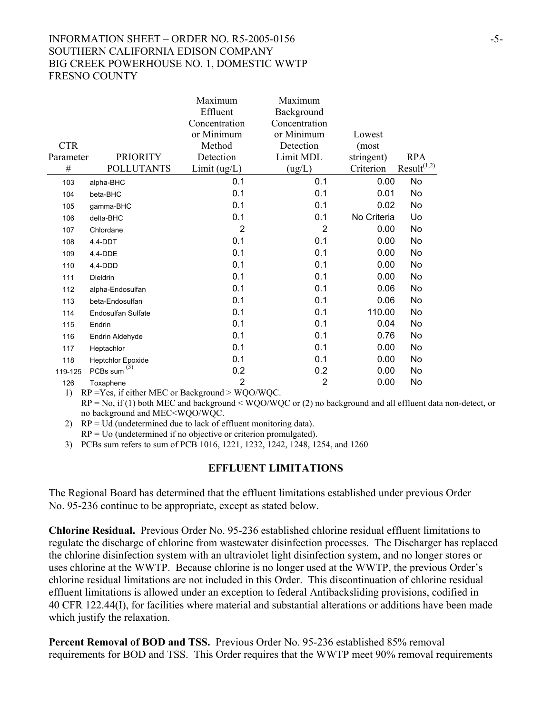## INFORMATION SHEET – ORDER NO. R5-2005-0156  $-5-$ SOUTHERN CALIFORNIA EDISON COMPANY BIG CREEK POWERHOUSE NO. 1, DOMESTIC WWTP FRESNO COUNTY

|                    |                                                                                   | Maximum        | Maximum        |             |                         |
|--------------------|-----------------------------------------------------------------------------------|----------------|----------------|-------------|-------------------------|
|                    |                                                                                   | Effluent       | Background     |             |                         |
|                    |                                                                                   | Concentration  | Concentration  |             |                         |
|                    |                                                                                   | or Minimum     | or Minimum     | Lowest      |                         |
| <b>CTR</b>         |                                                                                   | Method         | Detection      | (most       |                         |
| Parameter          | <b>PRIORITY</b>                                                                   | Detection      | Limit MDL      | stringent)  | <b>RPA</b>              |
| $\#$               | <b>POLLUTANTS</b>                                                                 | Limit(ug/L)    | (ug/L)         | Criterion   | Result <sup>(1,2)</sup> |
| 103                | alpha-BHC                                                                         | 0.1            | 0.1            | 0.00        | No                      |
| 104                | beta-BHC                                                                          | 0.1            | 0.1            | 0.01        | No                      |
| 105                | gamma-BHC                                                                         | 0.1            | 0.1            | 0.02        | No                      |
| 106                | delta-BHC                                                                         | 0.1            | 0.1            | No Criteria | Uo                      |
| 107                | Chlordane                                                                         | $\overline{2}$ | $\overline{2}$ | 0.00        | No                      |
| 108                | 4,4-DDT                                                                           | 0.1            | 0.1            | 0.00        | No                      |
| 109                | 4,4-DDE                                                                           | 0.1            | 0.1            | 0.00        | No                      |
| 110                | 4,4-DDD                                                                           | 0.1            | 0.1            | 0.00        | No                      |
| 111                | Dieldrin                                                                          | 0.1            | 0.1            | 0.00        | No                      |
| 112                | alpha-Endosulfan                                                                  | 0.1            | 0.1            | 0.06        | No                      |
| 113                | beta-Endosulfan                                                                   | 0.1            | 0.1            | 0.06        | No                      |
| 114                | <b>Endosulfan Sulfate</b>                                                         | 0.1            | 0.1            | 110.00      | No                      |
| 115                | Endrin                                                                            | 0.1            | 0.1            | 0.04        | No                      |
| 116                | Endrin Aldehyde                                                                   | 0.1            | 0.1            | 0.76        | No                      |
| 117                | Heptachlor                                                                        | 0.1            | 0.1            | 0.00        | No                      |
| 118                | <b>Heptchlor Epoxide</b>                                                          | 0.1            | 0.1            | 0.00        | No                      |
| 119-125            | PCBs sum $^{(3)}$                                                                 | 0.2            | 0.2            | 0.00        | No                      |
| 126<br>$1 \lambda$ | Toxaphene<br>$DD = V_{\alpha\alpha}$ if either MEC or Declares of $\sim WOO/WLOC$ | 2              | $\overline{2}$ | 0.00        | No                      |

1) RP =Yes, if either MEC or Background > WQO/WQC.  $RP = No$ , if (1) both MEC and background < WOO/WOC or (2) no background and all effluent data non-detect, or no background and MEC<WQO/WQC.

2)  $RP = Ud$  (undetermined due to lack of effluent monitoring data).  $RP = U<sub>0</sub>$  (undetermined if no objective or criterion promulgated).

3) PCBs sum refers to sum of PCB 1016, 1221, 1232, 1242, 1248, 1254, and 1260

#### **EFFLUENT LIMITATIONS**

The Regional Board has determined that the effluent limitations established under previous Order No. 95-236 continue to be appropriate, except as stated below.

**Chlorine Residual.** Previous Order No. 95-236 established chlorine residual effluent limitations to regulate the discharge of chlorine from wastewater disinfection processes. The Discharger has replaced the chlorine disinfection system with an ultraviolet light disinfection system, and no longer stores or uses chlorine at the WWTP. Because chlorine is no longer used at the WWTP, the previous Order's chlorine residual limitations are not included in this Order. This discontinuation of chlorine residual effluent limitations is allowed under an exception to federal Antibacksliding provisions, codified in 40 CFR 122.44(I), for facilities where material and substantial alterations or additions have been made which justify the relaxation.

**Percent Removal of BOD and TSS.** Previous Order No. 95-236 established 85% removal requirements for BOD and TSS. This Order requires that the WWTP meet 90% removal requirements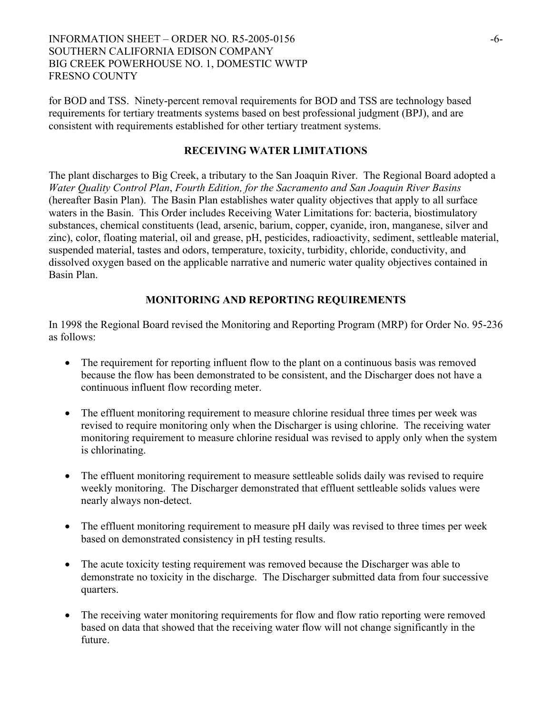## INFORMATION SHEET – ORDER NO. R5-2005-0156 -6- SOUTHERN CALIFORNIA EDISON COMPANY BIG CREEK POWERHOUSE NO. 1, DOMESTIC WWTP FRESNO COUNTY

for BOD and TSS. Ninety-percent removal requirements for BOD and TSS are technology based requirements for tertiary treatments systems based on best professional judgment (BPJ), and are consistent with requirements established for other tertiary treatment systems.

## **RECEIVING WATER LIMITATIONS**

The plant discharges to Big Creek, a tributary to the San Joaquin River. The Regional Board adopted a *Water Quality Control Plan*, *Fourth Edition, for the Sacramento and San Joaquin River Basins* (hereafter Basin Plan). The Basin Plan establishes water quality objectives that apply to all surface waters in the Basin. This Order includes Receiving Water Limitations for: bacteria, biostimulatory substances, chemical constituents (lead, arsenic, barium, copper, cyanide, iron, manganese, silver and zinc), color, floating material, oil and grease, pH, pesticides, radioactivity, sediment, settleable material, suspended material, tastes and odors, temperature, toxicity, turbidity, chloride, conductivity, and dissolved oxygen based on the applicable narrative and numeric water quality objectives contained in Basin Plan.

# **MONITORING AND REPORTING REQUIREMENTS**

In 1998 the Regional Board revised the Monitoring and Reporting Program (MRP) for Order No. 95-236 as follows:

- The requirement for reporting influent flow to the plant on a continuous basis was removed because the flow has been demonstrated to be consistent, and the Discharger does not have a continuous influent flow recording meter.
- The effluent monitoring requirement to measure chlorine residual three times per week was revised to require monitoring only when the Discharger is using chlorine. The receiving water monitoring requirement to measure chlorine residual was revised to apply only when the system is chlorinating.
- The effluent monitoring requirement to measure settleable solids daily was revised to require weekly monitoring. The Discharger demonstrated that effluent settleable solids values were nearly always non-detect.
- The effluent monitoring requirement to measure pH daily was revised to three times per week based on demonstrated consistency in pH testing results.
- The acute toxicity testing requirement was removed because the Discharger was able to demonstrate no toxicity in the discharge. The Discharger submitted data from four successive quarters.
- The receiving water monitoring requirements for flow and flow ratio reporting were removed based on data that showed that the receiving water flow will not change significantly in the future.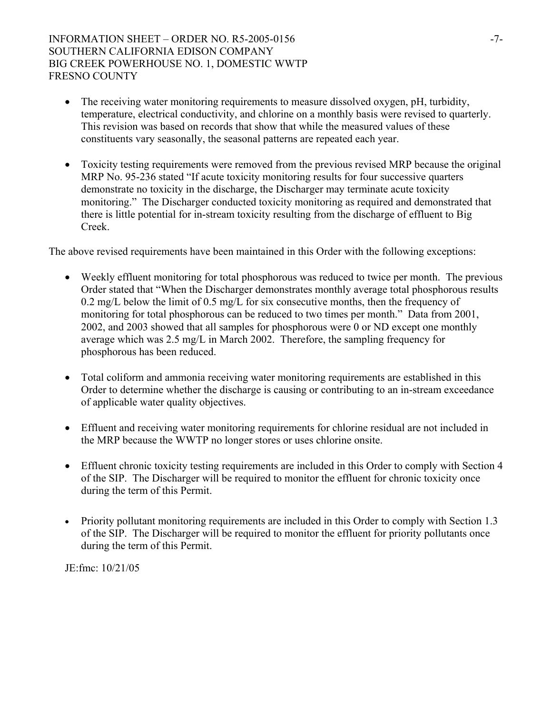## INFORMATION SHEET – ORDER NO. R5-2005-0156  $-7-$ SOUTHERN CALIFORNIA EDISON COMPANY BIG CREEK POWERHOUSE NO. 1, DOMESTIC WWTP FRESNO COUNTY

- The receiving water monitoring requirements to measure dissolved oxygen, pH, turbidity, temperature, electrical conductivity, and chlorine on a monthly basis were revised to quarterly. This revision was based on records that show that while the measured values of these constituents vary seasonally, the seasonal patterns are repeated each year.
- Toxicity testing requirements were removed from the previous revised MRP because the original MRP No. 95-236 stated "If acute toxicity monitoring results for four successive quarters demonstrate no toxicity in the discharge, the Discharger may terminate acute toxicity monitoring." The Discharger conducted toxicity monitoring as required and demonstrated that there is little potential for in-stream toxicity resulting from the discharge of effluent to Big Creek.

The above revised requirements have been maintained in this Order with the following exceptions:

- Weekly effluent monitoring for total phosphorous was reduced to twice per month. The previous Order stated that "When the Discharger demonstrates monthly average total phosphorous results 0.2 mg/L below the limit of 0.5 mg/L for six consecutive months, then the frequency of monitoring for total phosphorous can be reduced to two times per month." Data from 2001, 2002, and 2003 showed that all samples for phosphorous were 0 or ND except one monthly average which was 2.5 mg/L in March 2002. Therefore, the sampling frequency for phosphorous has been reduced.
- Total coliform and ammonia receiving water monitoring requirements are established in this Order to determine whether the discharge is causing or contributing to an in-stream exceedance of applicable water quality objectives.
- Effluent and receiving water monitoring requirements for chlorine residual are not included in the MRP because the WWTP no longer stores or uses chlorine onsite.
- Effluent chronic toxicity testing requirements are included in this Order to comply with Section 4 of the SIP. The Discharger will be required to monitor the effluent for chronic toxicity once during the term of this Permit.
- Priority pollutant monitoring requirements are included in this Order to comply with Section 1.3 of the SIP. The Discharger will be required to monitor the effluent for priority pollutants once during the term of this Permit.

JE:fmc: 10/21/05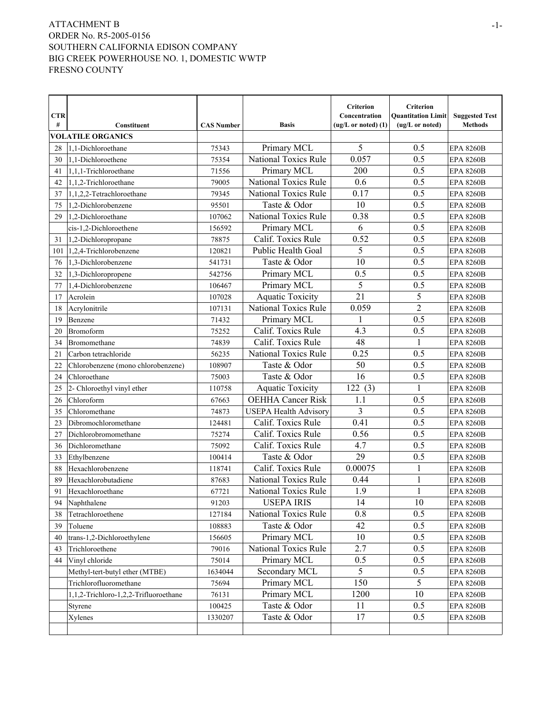|                 |                                       |                   |                              | Criterion                              | Criterion                                    |                                         |
|-----------------|---------------------------------------|-------------------|------------------------------|----------------------------------------|----------------------------------------------|-----------------------------------------|
| <b>CTR</b><br># | Constituent                           | <b>CAS Number</b> | <b>Basis</b>                 | Concentration<br>$(ug/L or noted)$ (1) | <b>Ouantitation Limit</b><br>(ug/L or noted) | <b>Suggested Test</b><br><b>Methods</b> |
|                 | <b>VOLATILE ORGANICS</b>              |                   |                              |                                        |                                              |                                         |
| 28              | 1.1-Dichloroethane                    | 75343             | Primary MCL                  | 5                                      | 0.5                                          | <b>EPA 8260B</b>                        |
| 30              | 1,1-Dichloroethene                    | 75354             | <b>National Toxics Rule</b>  | 0.057                                  | 0.5                                          | <b>EPA 8260B</b>                        |
| 41              | 1,1,1-Trichloroethane                 | 71556             | Primary MCL                  | 200                                    | 0.5                                          | <b>EPA 8260B</b>                        |
| 42              | 1,1,2-Trichloroethane                 | 79005             | <b>National Toxics Rule</b>  | 0.6                                    | 0.5                                          | <b>EPA 8260B</b>                        |
| 37              | 1,1,2,2-Tetrachloroethane             | 79345             | <b>National Toxics Rule</b>  | 0.17                                   | 0.5                                          | <b>EPA 8260B</b>                        |
| 75              | 1,2-Dichlorobenzene                   | 95501             | Taste & Odor                 | 10                                     | 0.5                                          | <b>EPA 8260B</b>                        |
| 29              | 1.2-Dichloroethane                    | 107062            | <b>National Toxics Rule</b>  | 0.38                                   | 0.5                                          | <b>EPA 8260B</b>                        |
|                 | cis-1,2-Dichloroethene                | 156592            | Primary MCL                  | 6                                      | 0.5                                          | <b>EPA 8260B</b>                        |
| 31              | $1,2$ -Dichloropropane                | 78875             | Calif. Toxics Rule           | 0.52                                   | 0.5                                          | <b>EPA 8260B</b>                        |
| 101             | 1,2,4-Trichlorobenzene                | 120821            | Public Health Goal           | 5                                      | 0.5                                          | <b>EPA 8260B</b>                        |
| 76              | 1,3-Dichlorobenzene                   | 541731            | Taste & Odor                 | 10                                     | 0.5                                          | <b>EPA 8260B</b>                        |
| 32              | 1,3-Dichloropropene                   | 542756            | Primary MCL                  | 0.5                                    | 0.5                                          | <b>EPA 8260B</b>                        |
| 77              | 1,4-Dichlorobenzene                   | 106467            | Primary MCL                  | 5                                      | 0.5                                          | <b>EPA 8260B</b>                        |
| 17              | Acrolein                              | 107028            | <b>Aquatic Toxicity</b>      | 21                                     | 5                                            | <b>EPA 8260B</b>                        |
| 18              | Acrylonitrile                         | 107131            | <b>National Toxics Rule</b>  | 0.059                                  | $\overline{2}$                               | <b>EPA 8260B</b>                        |
| 19              | Benzene                               | 71432             | Primary MCL                  | $\mathbf{1}$                           | 0.5                                          | <b>EPA 8260B</b>                        |
| 20              | <b>Bromoform</b>                      | 75252             | Calif. Toxics Rule           | 4.3                                    | 0.5                                          | <b>EPA 8260B</b>                        |
| 34              | Bromomethane                          | 74839             | Calif. Toxics Rule           | 48                                     | 1                                            | <b>EPA 8260B</b>                        |
| 21              | Carbon tetrachloride                  | 56235             | National Toxics Rule         | 0.25                                   | 0.5                                          | <b>EPA 8260B</b>                        |
| 22              | Chlorobenzene (mono chlorobenzene)    | 108907            | Taste & Odor                 | 50                                     | 0.5                                          | <b>EPA 8260B</b>                        |
| 24              | Chloroethane                          | 75003             | Taste & Odor                 | 16                                     | 0.5                                          | <b>EPA 8260B</b>                        |
| 25              | 2- Chloroethyl vinyl ether            | 110758            | <b>Aquatic Toxicity</b>      | 122(3)                                 | 1                                            | <b>EPA 8260B</b>                        |
| 26              | Chloroform                            | 67663             | <b>OEHHA Cancer Risk</b>     | 1.1                                    | 0.5                                          | <b>EPA 8260B</b>                        |
| 35              | Chloromethane                         | 74873             | <b>USEPA Health Advisory</b> | $\overline{3}$                         | 0.5                                          | <b>EPA 8260B</b>                        |
| 23              | Dibromochloromethane                  | 124481            | Calif. Toxics Rule           | 0.41                                   | 0.5                                          | <b>EPA 8260B</b>                        |
| 27              | Dichlorobromomethane                  | 75274             | Calif. Toxics Rule           | 0.56                                   | 0.5                                          | <b>EPA 8260B</b>                        |
| 36              | Dichloromethane                       | 75092             | Calif. Toxics Rule           | 4.7                                    | 0.5                                          | <b>EPA 8260B</b>                        |
| 33              | Ethylbenzene                          | 100414            | Taste & Odor                 | 29                                     | 0.5                                          | <b>EPA 8260B</b>                        |
| 88              | Hexachlorobenzene                     | 118741            | Calif. Toxics Rule           | 0.00075                                | 1                                            | <b>EPA 8260B</b>                        |
| 89              | Hexachlorobutadiene                   | 87683             | <b>National Toxics Rule</b>  | 0.44                                   | 1                                            | <b>EPA 8260B</b>                        |
| 91              | Hexachloroethane                      | 67721             | National Toxics Rule         | 1.9                                    | 1                                            | <b>EPA 8260B</b>                        |
| 94              | Naphthalene                           | 91203             | <b>USEPA IRIS</b>            | 14                                     | 10                                           | <b>EPA 8260B</b>                        |
| 38              | Tetrachloroethene                     | 127184            | National Toxics Rule         | 0.8                                    | 0.5                                          | <b>EPA 8260B</b>                        |
| 39              | Toluene                               | 108883            | Taste & Odor                 | 42                                     | 0.5                                          | <b>EPA 8260B</b>                        |
| 40              | trans-1,2-Dichloroethylene            | 156605            | Primary MCL                  | 10                                     | 0.5                                          | <b>EPA 8260B</b>                        |
| 43              | Trichloroethene                       | 79016             | National Toxics Rule         | 2.7                                    | 0.5                                          | <b>EPA 8260B</b>                        |
| 44              | Vinyl chloride                        | 75014             | Primary MCL                  | 0.5                                    | 0.5                                          | <b>EPA 8260B</b>                        |
|                 | Methyl-tert-butyl ether (MTBE)        | 1634044           | Secondary MCL                | 5                                      | 0.5                                          | <b>EPA 8260B</b>                        |
|                 | Trichlorofluoromethane                | 75694             | Primary MCL                  | 150                                    | 5                                            | <b>EPA 8260B</b>                        |
|                 | 1,1,2-Trichloro-1,2,2-Trifluoroethane | 76131             | Primary MCL                  | 1200                                   | 10                                           | <b>EPA 8260B</b>                        |
|                 | Styrene                               | 100425            | Taste & Odor                 | 11                                     | 0.5                                          | <b>EPA 8260B</b>                        |
|                 | Xylenes                               | 1330207           | Taste & Odor                 | 17                                     | 0.5                                          | <b>EPA 8260B</b>                        |
|                 |                                       |                   |                              |                                        |                                              |                                         |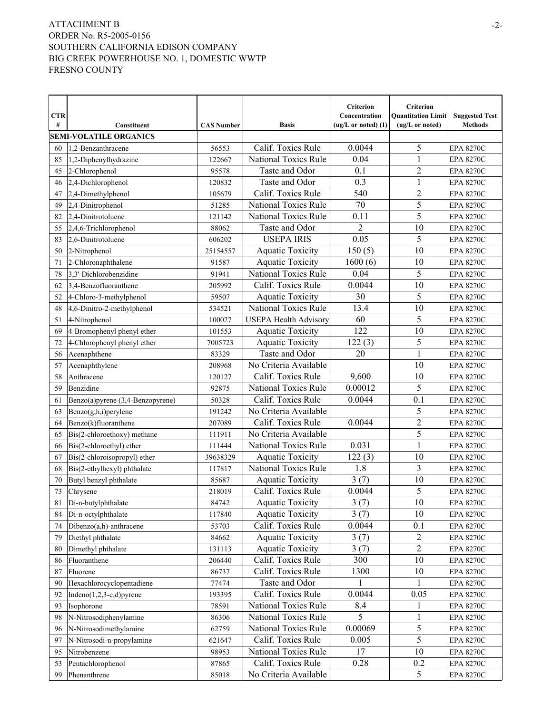|            |                                  |                   |                              | Criterion             | Criterion                 |                       |
|------------|----------------------------------|-------------------|------------------------------|-----------------------|---------------------------|-----------------------|
| <b>CTR</b> |                                  |                   |                              | Concentration         | <b>Ouantitation Limit</b> | <b>Suggested Test</b> |
| #          | Constituent                      | <b>CAS Number</b> | <b>Basis</b>                 | $(ug/L or noted)$ (1) | (ug/L or noted)           | <b>Methods</b>        |
|            | <b>SEMI-VOLATILE ORGANICS</b>    |                   |                              |                       |                           |                       |
| 60         | 1.2-Benzanthracene               | 56553             | Calif. Toxics Rule           | 0.0044                | 5                         | <b>EPA 8270C</b>      |
| 85         | 1,2-Diphenylhydrazine            | 122667            | National Toxics Rule         | 0.04                  | 1                         | <b>EPA 8270C</b>      |
| 45         | 2-Chlorophenol                   | 95578             | Taste and Odor               | 0.1                   | $\overline{2}$            | <b>EPA 8270C</b>      |
| 46         | 2,4-Dichlorophenol               | 120832            | Taste and Odor               | 0.3                   | $\mathbf{1}$              | <b>EPA 8270C</b>      |
| 47         | 2,4-Dimethylphenol               | 105679            | Calif. Toxics Rule           | 540                   | 2                         | <b>EPA 8270C</b>      |
| 49         | 2,4-Dinitrophenol                | 51285             | <b>National Toxics Rule</b>  | 70                    | 5                         | <b>EPA 8270C</b>      |
| 82         | 2,4-Dinitrotoluene               | 121142            | <b>National Toxics Rule</b>  | 0.11                  | 5                         | <b>EPA 8270C</b>      |
| 55         | 2,4,6-Trichlorophenol            | 88062             | Taste and Odor               | $\overline{2}$        | 10                        | <b>EPA 8270C</b>      |
| 83         | 2,6-Dinitrotoluene               | 606202            | <b>USEPA IRIS</b>            | 0.05                  | 5                         | <b>EPA 8270C</b>      |
| 50         | 2-Nitrophenol                    | 25154557          | <b>Aquatic Toxicity</b>      | 150(5)                | 10                        | <b>EPA 8270C</b>      |
| 71         | 2-Chloronaphthalene              | 91587             | <b>Aquatic Toxicity</b>      | 1600(6)               | 10                        | <b>EPA 8270C</b>      |
| 78         | 3,3'-Dichlorobenzidine           | 91941             | National Toxics Rule         | 0.04                  | 5                         | <b>EPA 8270C</b>      |
| 62         | 3.4-Benzofluoranthene            | 205992            | Calif. Toxics Rule           | 0.0044                | 10                        | <b>EPA 8270C</b>      |
| 52         | 4-Chloro-3-methylphenol          | 59507             | <b>Aquatic Toxicity</b>      | 30                    | 5                         | <b>EPA 8270C</b>      |
| 48         | 4,6-Dinitro-2-methylphenol       | 534521            | <b>National Toxics Rule</b>  | 13.4                  | 10                        | <b>EPA 8270C</b>      |
| 51         | 4-Nitrophenol                    | 100027            | <b>USEPA Health Advisory</b> | 60                    | 5                         | <b>EPA 8270C</b>      |
| 69         | 4-Bromophenyl phenyl ether       | 101553            | <b>Aquatic Toxicity</b>      | 122                   | 10                        | <b>EPA 8270C</b>      |
| 72         | 4-Chlorophenyl phenyl ether      | 7005723           | <b>Aquatic Toxicity</b>      | 122(3)                | 5                         | <b>EPA 8270C</b>      |
| 56         | Acenaphthene                     | 83329             | Taste and Odor               | 20                    | 1                         | <b>EPA 8270C</b>      |
| 57         | Acenaphthylene                   | 208968            | No Criteria Available        |                       | 10                        | <b>EPA 8270C</b>      |
| 58         | Anthracene                       | 120127            | Calif. Toxics Rule           | 9,600                 | 10                        | <b>EPA 8270C</b>      |
| 59         | Benzidine                        | 92875             | <b>National Toxics Rule</b>  | 0.00012               | 5                         | <b>EPA 8270C</b>      |
| 61         | Benzo(a)pyrene (3,4-Benzopyrene) | 50328             | Calif. Toxics Rule           | 0.0044                | 0.1                       | <b>EPA 8270C</b>      |
| 63         | Benzo(g,h,i)perylene             | 191242            | No Criteria Available        |                       | 5                         | <b>EPA 8270C</b>      |
| 64         | Benzo(k)fluoranthene             | 207089            | Calif. Toxics Rule           | 0.0044                | $\overline{c}$            | <b>EPA 8270C</b>      |
| 65         | Bis(2-chloroethoxy) methane      | 111911            | No Criteria Available        |                       | 5                         | <b>EPA 8270C</b>      |
| 66         | Bis(2-chloroethyl) ether         | 111444            | National Toxics Rule         | 0.031                 | 1                         | <b>EPA 8270C</b>      |
| 67         | Bis(2-chloroisopropyl) ether     | 39638329          | <b>Aquatic Toxicity</b>      | 122(3)                | 10                        | <b>EPA 8270C</b>      |
| 68         | Bis(2-ethylhexyl) phthalate      | 117817            | <b>National Toxics Rule</b>  | 1.8                   | 3                         | <b>EPA 8270C</b>      |
| 70         | Butyl benzyl phthalate           | 85687             | <b>Aquatic Toxicity</b>      | 3(7)                  | 10                        | <b>EPA 8270C</b>      |
| 73         | Chrysene                         | 218019            | Calif. Toxics Rule           | 0.0044                | 5                         | <b>EPA 8270C</b>      |
| 81         | Di-n-butylphthalate              | 84742             | <b>Aquatic Toxicity</b>      | 3(7)                  | 10                        | <b>EPA 8270C</b>      |
| 84         | Di-n-octylphthalate              | 117840            | <b>Aquatic Toxicity</b>      | 3(7)                  | 10                        | <b>EPA 8270C</b>      |
| 74         | $Dibenzo(a,h)$ -anthracene       | 53703             | Calif. Toxics Rule           | 0.0044                | 0.1                       | <b>EPA 8270C</b>      |
| 79         | Diethyl phthalate                | 84662             | <b>Aquatic Toxicity</b>      | 3(7)                  | $\overline{c}$            | <b>EPA 8270C</b>      |
| 80         | Dimethyl phthalate               | 131113            | <b>Aquatic Toxicity</b>      | 3(7)                  | $\overline{2}$            | <b>EPA 8270C</b>      |
| 86         | Fluoranthene                     | 206440            | Calif. Toxics Rule           | 300                   | 10                        | <b>EPA 8270C</b>      |
| 87         | Fluorene                         | 86737             | Calif. Toxics Rule           | 1300                  | 10                        | <b>EPA 8270C</b>      |
| 90         | Hexachlorocyclopentadiene        | 77474             | Taste and Odor               | 1                     |                           | <b>EPA 8270C</b>      |
| 92         | Indeno $(1,2,3-c,d)$ pyrene      | 193395            | Calif. Toxics Rule           | 0.0044                | 0.05                      | <b>EPA 8270C</b>      |
| 93         | Isophorone                       | 78591             | <b>National Toxics Rule</b>  | 8.4                   | 1                         | <b>EPA 8270C</b>      |
| 98         | N-Nitrosodiphenylamine           | 86306             | National Toxics Rule         | 5                     | 1                         | <b>EPA 8270C</b>      |
| 96         | N-Nitrosodimethylamine           | 62759             | National Toxics Rule         | 0.00069               | 5                         | <b>EPA 8270C</b>      |
| 97         | N-Nitrosodi-n-propylamine        | 621647            | Calif. Toxics Rule           | 0.005                 | 5                         | <b>EPA 8270C</b>      |
| 95         | Nitrobenzene                     | 98953             | National Toxics Rule         | 17                    | 10                        | <b>EPA 8270C</b>      |
| 53         | Pentachlorophenol                | 87865             | Calif. Toxics Rule           | 0.28                  | 0.2                       | <b>EPA 8270C</b>      |
| 99         | Phenanthrene                     | 85018             | No Criteria Available        |                       | 5                         | <b>EPA 8270C</b>      |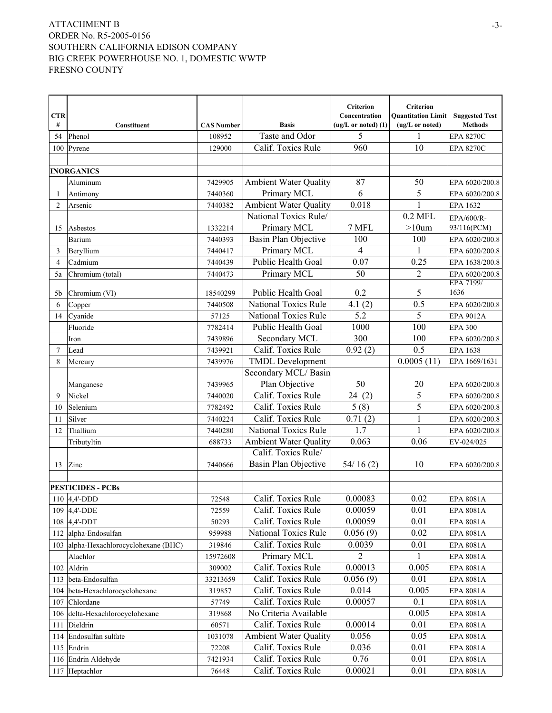|                     |                                       |                    |                                                       | Criterion               | Criterion                 |                                  |
|---------------------|---------------------------------------|--------------------|-------------------------------------------------------|-------------------------|---------------------------|----------------------------------|
| <b>CTR</b>          |                                       |                    |                                                       | Concentration           | <b>Quantitation Limit</b> | <b>Suggested Test</b>            |
| #                   | Constituent                           | <b>CAS Number</b>  | <b>Basis</b>                                          | $(ug/L or noted)$ $(1)$ | (ug/L or noted)           | <b>Methods</b>                   |
| 54                  | Phenol                                | 108952             | Taste and Odor                                        | 5                       | 1                         | <b>EPA 8270C</b>                 |
| 100                 | Pyrene                                | 129000             | Calif. Toxics Rule                                    | 960                     | 10                        | <b>EPA 8270C</b>                 |
|                     |                                       |                    |                                                       |                         |                           |                                  |
|                     | <b>INORGANICS</b>                     |                    |                                                       |                         |                           |                                  |
|                     | Aluminum                              | 7429905            | <b>Ambient Water Quality</b>                          | 87                      | 50                        | EPA 6020/200.8                   |
| 1                   | Antimony                              | 7440360            | Primary MCL                                           | 6                       | 5                         | EPA 6020/200.8                   |
| $\overline{2}$      | Arsenic                               | 7440382            | <b>Ambient Water Quality</b><br>National Toxics Rule/ | 0.018                   | $\mathbf{1}$<br>$0.2$ MFL | EPA 1632                         |
|                     |                                       |                    | Primary MCL                                           |                         | $>10$ um                  | EPA/600/R-                       |
| 15                  | Asbestos                              | 1332214<br>7440393 | Basin Plan Objective                                  | 7 MFL<br>100            | 100                       | 93/116(PCM)                      |
|                     | Barium                                |                    | Primary MCL                                           | 4                       | 1                         | EPA 6020/200.8                   |
| 3<br>$\overline{4}$ | Beryllium                             | 7440417            | Public Health Goal                                    | 0.07                    | 0.25                      | EPA 6020/200.8                   |
|                     | Cadmium                               | 7440439<br>7440473 | Primary MCL                                           | 50                      | 2                         | EPA 1638/200.8<br>EPA 6020/200.8 |
| 5a                  | Chromium (total)                      |                    |                                                       |                         |                           | EPA 7199/                        |
| 5b                  | Chromium (VI)                         | 18540299           | Public Health Goal                                    | 0.2                     | 5                         | 1636                             |
| 6                   | Copper                                | 7440508            | <b>National Toxics Rule</b>                           | 4.1(2)                  | 0.5                       | EPA 6020/200.8                   |
| 14                  | Cyanide                               | 57125              | National Toxics Rule                                  | 5.2                     | 5                         | EPA 9012A                        |
|                     | Fluoride                              | 7782414            | Public Health Goal                                    | 1000                    | 100                       | <b>EPA 300</b>                   |
|                     | Iron                                  | 7439896            | Secondary MCL                                         | 300                     | 100                       | EPA 6020/200.8                   |
| 7                   | Lead                                  | 7439921            | Calif. Toxics Rule                                    | 0.92(2)                 | 0.5                       | EPA 1638                         |
| 8                   | Mercury                               | 7439976            | <b>TMDL</b> Development                               |                         | 0.0005(11)                | EPA 1669/1631                    |
|                     |                                       |                    | Secondary MCL/Basin                                   |                         |                           |                                  |
|                     | Manganese                             | 7439965            | Plan Objective                                        | 50                      | 20                        | EPA 6020/200.8                   |
| 9                   | Nickel                                | 7440020            | Calif. Toxics Rule                                    | 24(2)                   | 5                         | EPA 6020/200.8                   |
| 10                  | Selenium                              | 7782492            | Calif. Toxics Rule                                    | 5(8)                    | 5                         | EPA 6020/200.8                   |
| 11                  | Silver                                | 7440224            | Calif. Toxics Rule                                    | 0.71(2)                 | 1                         | EPA 6020/200.8                   |
| 12                  | Thallium                              | 7440280            | <b>National Toxics Rule</b>                           | 1.7                     | 1                         | EPA 6020/200.8                   |
|                     | Tributyltin                           | 688733             | <b>Ambient Water Quality</b>                          | 0.063                   | 0.06                      | EV-024/025                       |
|                     |                                       |                    | Calif. Toxics Rule/                                   |                         |                           |                                  |
| 13                  | Zinc                                  | 7440666            | Basin Plan Objective                                  | 54/16(2)                | 10                        | EPA 6020/200.8                   |
|                     |                                       |                    |                                                       |                         |                           |                                  |
|                     | <b>PESTICIDES - PCBs</b>              |                    |                                                       |                         |                           |                                  |
|                     | 110 $ 4,4$ -DDD                       | 72548              | Calif. Toxics Rule                                    | 0.00083                 | 0.02                      | EPA 8081A                        |
|                     | 109 4,4'-DDE                          | 72559              | Calif. Toxics Rule                                    | 0.00059                 | 0.01                      | EPA 8081A                        |
|                     | 108 $ 4,4$ -DDT                       | 50293              | Calif. Toxics Rule                                    | 0.00059                 | 0.01                      | EPA 8081A                        |
|                     | 112 alpha-Endosulfan                  | 959988             | National Toxics Rule                                  | 0.056(9)                | 0.02                      | EPA 8081A                        |
|                     | 103 alpha-Hexachlorocyclohexane (BHC) | 319846             | Calif. Toxics Rule                                    | 0.0039                  | 0.01                      | EPA 8081A                        |
|                     | Alachlor                              | 15972608           | Primary MCL                                           | 2                       | 1                         | EPA 8081A                        |
|                     | 102 Aldrin                            | 309002             | Calif. Toxics Rule                                    | 0.00013                 | 0.005                     | EPA 8081A                        |
|                     | 113 beta-Endosulfan                   | 33213659           | Calif. Toxics Rule                                    | 0.056(9)                | 0.01                      | EPA 8081A                        |
|                     | 104 beta-Hexachlorocyclohexane        | 319857             | Calif. Toxics Rule                                    | 0.014                   | 0.005                     | EPA 8081A                        |
|                     | 107 Chlordane                         | 57749              | Calif. Toxics Rule                                    | 0.00057                 | 0.1                       | EPA 8081A                        |
|                     | 106 delta-Hexachlorocyclohexane       | 319868             | No Criteria Available                                 |                         | 0.005                     | EPA 8081A                        |
| 111                 | Dieldrin                              | 60571              | Calif. Toxics Rule                                    | 0.00014                 | 0.01                      | EPA 8081A                        |
|                     | 114 Endosulfan sulfate                | 1031078            | <b>Ambient Water Quality</b>                          | 0.056                   | 0.05                      | EPA 8081A                        |
|                     | $115$ Endrin                          | 72208              | Calif. Toxics Rule                                    | 0.036                   | 0.01                      | EPA 8081A                        |
|                     | 116 Endrin Aldehyde                   | 7421934            | Calif. Toxics Rule                                    | 0.76                    | 0.01                      | EPA 8081A                        |
|                     | 117 Heptachlor                        | 76448              | Calif. Toxics Rule                                    | 0.00021                 | 0.01                      | EPA 8081A                        |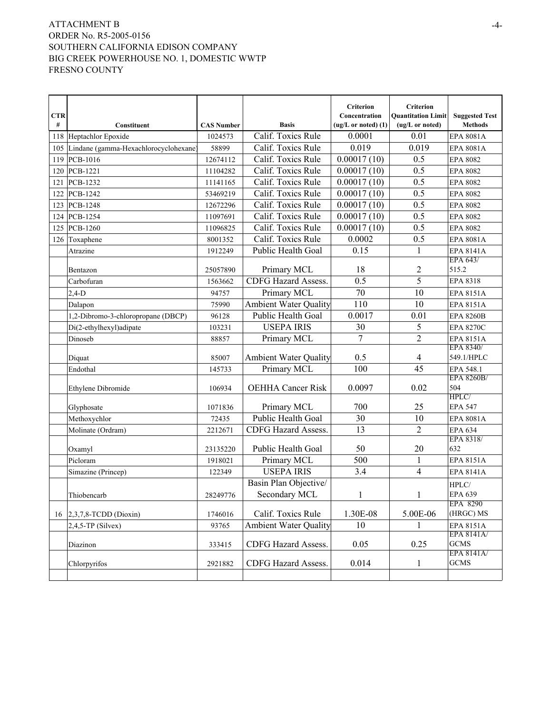| <b>CTR</b> |                                           |                   |                                        | Criterion<br>Concentration | Criterion<br><b>Quantitation Limit</b> | <b>Suggested Test</b>     |
|------------|-------------------------------------------|-------------------|----------------------------------------|----------------------------|----------------------------------------|---------------------------|
| #          | Constituent                               | <b>CAS Number</b> | <b>Basis</b>                           | $(ug/L or noted)$ $(1)$    | (ug/L or noted)                        | <b>Methods</b>            |
|            | 118 Heptachlor Epoxide                    | 1024573           | Calif. Toxics Rule                     | 0.0001                     | 0.01                                   | EPA 8081A                 |
|            | 105 Lindane (gamma-Hexachlorocyclohexane) | 58899             | Calif. Toxics Rule                     | 0.019                      | 0.019                                  | EPA 8081A                 |
|            | 119 PCB-1016                              | 12674112          | Calif. Toxics Rule                     | 0.00017(10)                | 0.5                                    | <b>EPA 8082</b>           |
|            | 120 PCB-1221                              | 11104282          | Calif. Toxics Rule                     | 0.00017(10)                | 0.5                                    | <b>EPA 8082</b>           |
| 121        | PCB-1232                                  | 11141165          | Calif. Toxics Rule                     | 0.00017(10)                | 0.5                                    | <b>EPA 8082</b>           |
| 122        | PCB-1242                                  | 53469219          | Calif. Toxics Rule                     | 0.00017(10)                | 0.5                                    | <b>EPA 8082</b>           |
| 123        | <b>PCB-1248</b>                           | 12672296          | Calif. Toxics Rule                     | 0.00017(10)                | 0.5                                    | <b>EPA 8082</b>           |
| 124        | PCB-1254                                  | 11097691          | Calif. Toxics Rule                     | 0.00017(10)                | 0.5                                    | <b>EPA 8082</b>           |
| 125        | PCB-1260                                  | 11096825          | Calif. Toxics Rule                     | 0.00017(10)                | 0.5                                    | <b>EPA 8082</b>           |
|            | 126 Toxaphene                             | 8001352           | Calif. Toxics Rule                     | 0.0002                     | 0.5                                    | EPA 8081A                 |
|            | Atrazine                                  | 1912249           | Public Health Goal                     | 0.15                       | 1                                      | EPA 8141A                 |
|            |                                           |                   |                                        |                            |                                        | EPA 643/                  |
|            | Bentazon                                  | 25057890          | Primary MCL                            | 18                         | 2<br>5                                 | 515.2                     |
|            | Carbofuran                                | 1563662           | <b>CDFG Hazard Assess.</b>             | 0.5<br>70                  |                                        | EPA 8318                  |
|            | $2,4-D$                                   | 94757             | Primary MCL                            |                            | 10                                     | EPA 8151A                 |
|            | Dalapon                                   | 75990             | <b>Ambient Water Quality</b>           | 110                        | 10                                     | <b>EPA 8151A</b>          |
|            | 1,2-Dibromo-3-chloropropane (DBCP)        | 96128             | Public Health Goal                     | 0.0017                     | 0.01                                   | <b>EPA 8260B</b>          |
|            | Di(2-ethylhexyl)adipate                   | 103231            | <b>USEPA IRIS</b>                      | 30<br>$\overline{7}$       | 5                                      | <b>EPA 8270C</b>          |
|            | Dinoseb                                   | 88857             | Primary MCL                            |                            | $\overline{2}$                         | EPA 8151A<br>EPA 8340/    |
|            | Diquat                                    | 85007             | <b>Ambient Water Quality</b>           | 0.5                        | 4                                      | 549.1/HPLC                |
|            | Endothal                                  | 145733            | Primary MCL                            | 100                        | 45                                     | EPA 548.1                 |
|            | Ethylene Dibromide                        | 106934            | <b>OEHHA Cancer Risk</b>               | 0.0097                     | 0.02                                   | EPA 8260B/<br>504         |
|            | Glyphosate                                | 1071836           | Primary MCL                            | 700                        | 25                                     | HPLC/<br><b>EPA 547</b>   |
|            | Methoxychlor                              | 72435             | Public Health Goal                     | 30                         | 10                                     | EPA 8081A                 |
|            | Molinate (Ordram)                         | 2212671           | <b>CDFG Hazard Assess.</b>             | 13                         | $\overline{2}$                         | <b>EPA 634</b>            |
|            |                                           |                   |                                        |                            |                                        | EPA 8318/                 |
|            | Oxamyl                                    | 23135220          | Public Health Goal                     | 50                         | 20                                     | 632                       |
|            | Picloram                                  | 1918021           | Primary MCL                            | 500                        | 1                                      | EPA 8151A                 |
|            | Simazine (Princep)                        | 122349            | <b>USEPA IRIS</b>                      | 3.4                        | 4                                      | <b>EPA 8141A</b>          |
|            | Thiobencarb                               | 28249776          | Basin Plan Objective/<br>Secondary MCL | $\mathbf{1}$               | 1                                      | HPLC/<br><b>EPA 639</b>   |
|            |                                           |                   |                                        |                            |                                        | EPA 8290                  |
|            | 16 $ 2,3,7,8$ -TCDD (Dioxin)              | 1746016           | Calif. Toxics Rule                     | 1.30E-08                   | 5.00E-06                               | (HRGC) MS                 |
|            | $2,4,5$ -TP (Silvex)                      | 93765             | <b>Ambient Water Quality</b>           | 10                         | 1                                      | EPA 8151A                 |
|            |                                           |                   |                                        |                            |                                        | EPA 8141A/                |
|            | Diazinon                                  | 333415            | CDFG Hazard Assess.                    | 0.05                       | 0.25                                   | <b>GCMS</b><br>EPA 8141A/ |
|            | Chlorpyrifos                              | 2921882           | CDFG Hazard Assess.                    | 0.014                      | $\mathbf{1}$                           | <b>GCMS</b>               |
|            |                                           |                   |                                        |                            |                                        |                           |